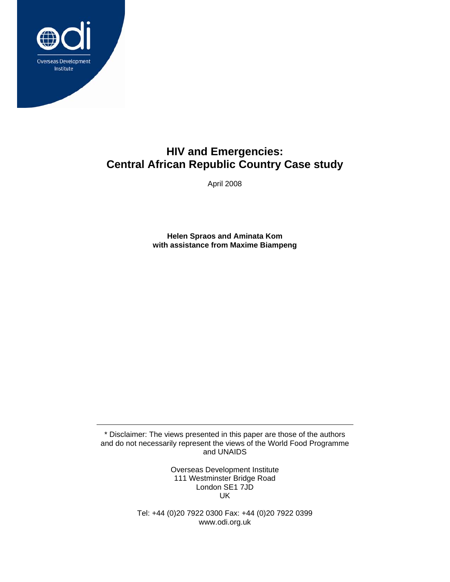

# **HIV and Emergencies: Central African Republic Country Case study**

April 2008

**Helen Spraos and Aminata Kom with assistance from Maxime Biampeng** 

\* Disclaimer: The views presented in this paper are those of the authors and do not necessarily represent the views of the World Food Programme and UNAIDS

> Overseas Development Institute 111 Westminster Bridge Road London SE1 7JD UK

Tel: +44 (0)20 7922 0300 Fax: +44 (0)20 7922 0399 www.odi.org.uk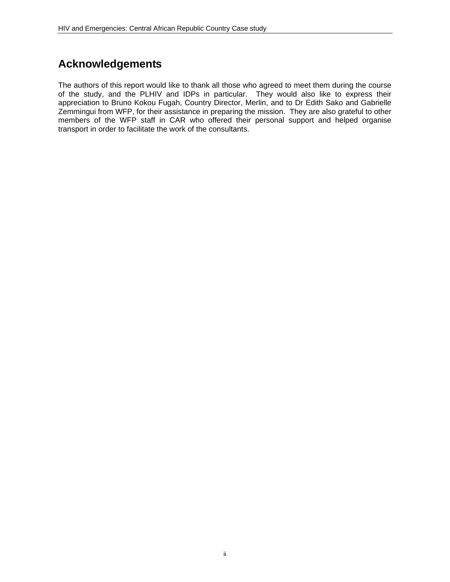# **Acknowledgements**

The authors of this report would like to thank all those who agreed to meet them during the course of the study, and the PLHIV and IDPs in particular. They would also like to express their appreciation to Bruno Kokou Fugah, Country Director, Merlin, and to Dr Edith Sako and Gabrielle Zemmingui from WFP, for their assistance in preparing the mission. They are also grateful to other members of the WFP staff in CAR who offered their personal support and helped organise transport in order to facilitate the work of the consultants.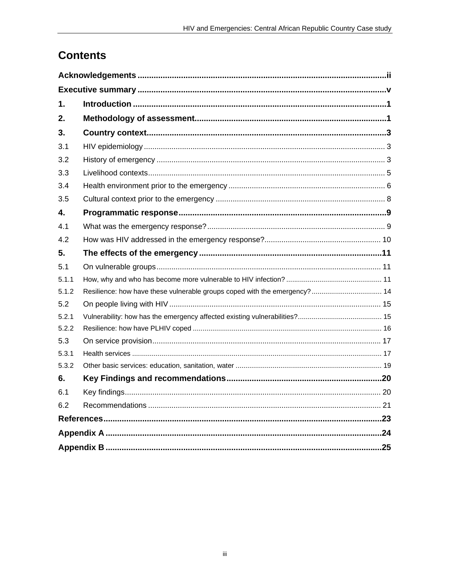# **Contents**

| 1.    |                                                                           |  |  |  |  |
|-------|---------------------------------------------------------------------------|--|--|--|--|
| 2.    |                                                                           |  |  |  |  |
| 3.    |                                                                           |  |  |  |  |
| 3.1   |                                                                           |  |  |  |  |
| 3.2   |                                                                           |  |  |  |  |
| 3.3   |                                                                           |  |  |  |  |
| 3.4   |                                                                           |  |  |  |  |
| 3.5   |                                                                           |  |  |  |  |
| 4.    |                                                                           |  |  |  |  |
| 4.1   |                                                                           |  |  |  |  |
| 4.2   |                                                                           |  |  |  |  |
| 5.    |                                                                           |  |  |  |  |
| 5.1   |                                                                           |  |  |  |  |
| 5.1.1 |                                                                           |  |  |  |  |
| 5.1.2 | Resilience: how have these vulnerable groups coped with the emergency? 14 |  |  |  |  |
| 5.2   |                                                                           |  |  |  |  |
| 5.2.1 |                                                                           |  |  |  |  |
| 5.2.2 |                                                                           |  |  |  |  |
| 5.3   |                                                                           |  |  |  |  |
| 5.3.1 |                                                                           |  |  |  |  |
| 5.3.2 |                                                                           |  |  |  |  |
| 6.    |                                                                           |  |  |  |  |
| 6.1   |                                                                           |  |  |  |  |
| 6.2   |                                                                           |  |  |  |  |
|       |                                                                           |  |  |  |  |
|       |                                                                           |  |  |  |  |
|       |                                                                           |  |  |  |  |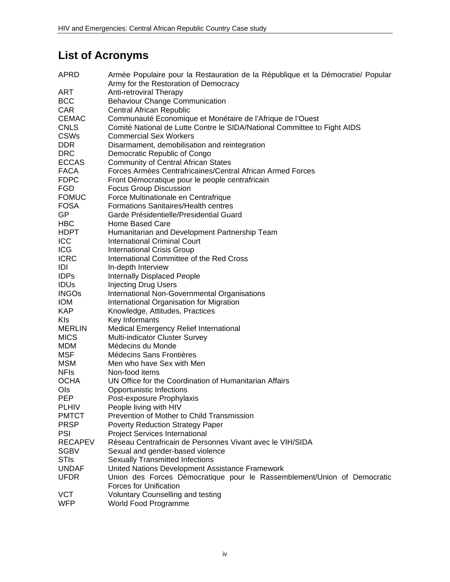# **List of Acronyms**

| APRD           | Armée Populaire pour la Restauration de la République et la Démocratie/ Popular<br>Army for the Restoration of Democracy |
|----------------|--------------------------------------------------------------------------------------------------------------------------|
| ART            | Anti-retroviral Therapy                                                                                                  |
|                |                                                                                                                          |
| <b>BCC</b>     | <b>Behaviour Change Communication</b>                                                                                    |
| CAR            | <b>Central African Republic</b>                                                                                          |
| <b>CEMAC</b>   | Communauté Economique et Monétaire de l'Afrique de l'Ouest                                                               |
| <b>CNLS</b>    | Comité National de Lutte Contre le SIDA/National Committee to Fight AIDS                                                 |
| <b>CSWs</b>    | <b>Commercial Sex Workers</b>                                                                                            |
| <b>DDR</b>     | Disarmament, demobilisation and reintegration                                                                            |
| <b>DRC</b>     | Democratic Republic of Congo                                                                                             |
| <b>ECCAS</b>   | <b>Community of Central African States</b>                                                                               |
| <b>FACA</b>    | Forces Armées Centrafricaines/Central African Armed Forces                                                               |
| <b>FDPC</b>    | Front Démocratique pour le people centrafricain                                                                          |
| <b>FGD</b>     | <b>Focus Group Discussion</b>                                                                                            |
| <b>FOMUC</b>   | Force Multinationale en Centrafrique                                                                                     |
| <b>FOSA</b>    | <b>Formations Sanitaires/Health centres</b>                                                                              |
| GP             | Garde Présidentielle/Presidential Guard                                                                                  |
| <b>HBC</b>     | Home Based Care                                                                                                          |
| <b>HDPT</b>    | Humanitarian and Development Partnership Team                                                                            |
| ICC            | <b>International Criminal Court</b>                                                                                      |
| ICG            | <b>International Crisis Group</b>                                                                                        |
| <b>ICRC</b>    | International Committee of the Red Cross                                                                                 |
| IDI            | In-depth Interview                                                                                                       |
| <b>IDPs</b>    | <b>Internally Displaced People</b>                                                                                       |
| <b>IDUS</b>    | <b>Injecting Drug Users</b>                                                                                              |
| <b>INGOs</b>   | International Non-Governmental Organisations                                                                             |
| <b>IOM</b>     |                                                                                                                          |
|                | International Organisation for Migration                                                                                 |
| <b>KAP</b>     | Knowledge, Attitudes, Practices                                                                                          |
| <b>KIs</b>     | Key Informants                                                                                                           |
| <b>MERLIN</b>  | Medical Emergency Relief International                                                                                   |
| <b>MICS</b>    | Multi-indicator Cluster Survey                                                                                           |
| <b>MDM</b>     | Médecins du Monde                                                                                                        |
| <b>MSF</b>     | Médecins Sans Frontières                                                                                                 |
| <b>MSM</b>     | Men who have Sex with Men                                                                                                |
| <b>NFIS</b>    | Non-food items                                                                                                           |
| <b>OCHA</b>    | UN Office for the Coordination of Humanitarian Affairs                                                                   |
| Ols            | <b>Opportunistic Infections</b>                                                                                          |
| <b>PEP</b>     | Post-exposure Prophylaxis                                                                                                |
| <b>PLHIV</b>   | People living with HIV                                                                                                   |
| <b>PMTCT</b>   | Prevention of Mother to Child Transmission                                                                               |
| <b>PRSP</b>    | <b>Poverty Reduction Strategy Paper</b>                                                                                  |
| PSI            | <b>Project Services International</b>                                                                                    |
| <b>RECAPEV</b> | Réseau Centrafricain de Personnes Vivant avec le VIH/SIDA                                                                |
| <b>SGBV</b>    | Sexual and gender-based violence                                                                                         |
| <b>STIs</b>    | <b>Sexually Transmitted Infections</b>                                                                                   |
| <b>UNDAF</b>   | United Nations Development Assistance Framework                                                                          |
| <b>UFDR</b>    | Union des Forces Démocratique pour le Rassemblement/Union of Democratic                                                  |
|                | <b>Forces for Unification</b>                                                                                            |
| <b>VCT</b>     | <b>Voluntary Counselling and testing</b>                                                                                 |
| <b>WFP</b>     | World Food Programme                                                                                                     |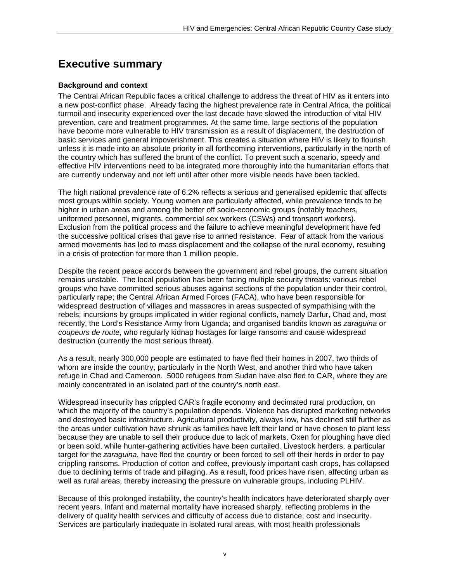# **Executive summary**

#### **Background and context**

The Central African Republic faces a critical challenge to address the threat of HIV as it enters into a new post-conflict phase. Already facing the highest prevalence rate in Central Africa, the political turmoil and insecurity experienced over the last decade have slowed the introduction of vital HIV prevention, care and treatment programmes. At the same time, large sections of the population have become more vulnerable to HIV transmission as a result of displacement, the destruction of basic services and general impoverishment. This creates a situation where HIV is likely to flourish unless it is made into an absolute priority in all forthcoming interventions, particularly in the north of the country which has suffered the brunt of the conflict. To prevent such a scenario, speedy and effective HIV interventions need to be integrated more thoroughly into the humanitarian efforts that are currently underway and not left until after other more visible needs have been tackled.

The high national prevalence rate of 6.2% reflects a serious and generalised epidemic that affects most groups within society. Young women are particularly affected, while prevalence tends to be higher in urban areas and among the better off socio-economic groups (notably teachers, uniformed personnel, migrants, commercial sex workers (CSWs) and transport workers). Exclusion from the political process and the failure to achieve meaningful development have fed the successive political crises that gave rise to armed resistance. Fear of attack from the various armed movements has led to mass displacement and the collapse of the rural economy, resulting in a crisis of protection for more than 1 million people.

Despite the recent peace accords between the government and rebel groups, the current situation remains unstable. The local population has been facing multiple security threats: various rebel groups who have committed serious abuses against sections of the population under their control, particularly rape; the Central African Armed Forces (FACA), who have been responsible for widespread destruction of villages and massacres in areas suspected of sympathising with the rebels; incursions by groups implicated in wider regional conflicts, namely Darfur, Chad and, most recently, the Lord's Resistance Army from Uganda; and organised bandits known as *zaraguina* or *coupeurs de route*, who regularly kidnap hostages for large ransoms and cause widespread destruction (currently the most serious threat).

As a result, nearly 300,000 people are estimated to have fled their homes in 2007, two thirds of whom are inside the country, particularly in the North West, and another third who have taken refuge in Chad and Cameroon. 5000 refugees from Sudan have also fled to CAR, where they are mainly concentrated in an isolated part of the country's north east.

Widespread insecurity has crippled CAR's fragile economy and decimated rural production, on which the majority of the country's population depends. Violence has disrupted marketing networks and destroyed basic infrastructure. Agricultural productivity, always low, has declined still further as the areas under cultivation have shrunk as families have left their land or have chosen to plant less because they are unable to sell their produce due to lack of markets. Oxen for ploughing have died or been sold, while hunter-gathering activities have been curtailed. Livestock herders, a particular target for the *zaraguina*, have fled the country or been forced to sell off their herds in order to pay crippling ransoms. Production of cotton and coffee, previously important cash crops, has collapsed due to declining terms of trade and pillaging. As a result, food prices have risen, affecting urban as well as rural areas, thereby increasing the pressure on vulnerable groups, including PLHIV.

Because of this prolonged instability, the country's health indicators have deteriorated sharply over recent years. Infant and maternal mortality have increased sharply, reflecting problems in the delivery of quality health services and difficulty of access due to distance, cost and insecurity. Services are particularly inadequate in isolated rural areas, with most health professionals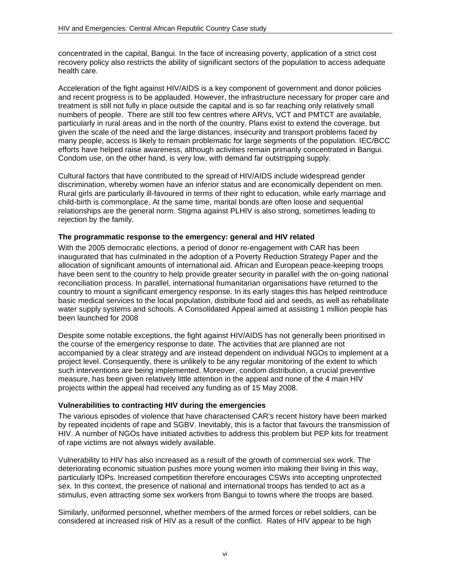concentrated in the capital, Bangui. In the face of increasing poverty, application of a strict cost recovery policy also restricts the ability of significant sectors of the population to access adequate health care.

Acceleration of the fight against HIV/AIDS is a key component of government and donor policies and recent progress is to be applauded. However, the infrastructure necessary for proper care and treatment is still not fully in place outside the capital and is so far reaching only relatively small numbers of people. There are still too few centres where ARVs, VCT and PMTCT are available, particularly in rural areas and in the north of the country. Plans exist to extend the coverage, but given the scale of the need and the large distances, insecurity and transport problems faced by many people, access is likely to remain problematic for large segments of the population. IEC/BCC efforts have helped raise awareness, although activities remain primarily concentrated in Bangui. Condom use, on the other hand, is very low, with demand far outstripping supply.

Cultural factors that have contributed to the spread of HIV/AIDS include widespread gender discrimination, whereby women have an inferior status and are economically dependent on men. Rural girls are particularly ill-favoured in terms of their right to education, while early marriage and child-birth is commonplace. At the same time, marital bonds are often loose and sequential relationships are the general norm. Stigma against PLHIV is also strong, sometimes leading to rejection by the family.

#### **The programmatic response to the emergency: general and HIV related**

With the 2005 democratic elections, a period of donor re-engagement with CAR has been inaugurated that has culminated in the adoption of a Poverty Reduction Strategy Paper and the allocation of significant amounts of international aid. African and European peace-keeping troops have been sent to the country to help provide greater security in parallel with the on-going national reconciliation process. In parallel, international humanitarian organisations have returned to the country to mount a significant emergency response. In its early stages this has helped reintroduce basic medical services to the local population, distribute food aid and seeds, as well as rehabilitate water supply systems and schools. A Consolidated Appeal aimed at assisting 1 million people has been launched for 2008

Despite some notable exceptions, the fight against HIV/AIDS has not generally been prioritised in the course of the emergency response to date. The activities that are planned are not accompanied by a clear strategy and are instead dependent on individual NGOs to implement at a project level. Consequently, there is unlikely to be any regular monitoring of the extent to which such interventions are being implemented. Moreover, condom distribution, a crucial preventive measure, has been given relatively little attention in the appeal and none of the 4 main HIV projects within the appeal had received any funding as of 15 May 2008.

#### **Vulnerabilities to contracting HIV during the emergencies**

The various episodes of violence that have characterised CAR's recent history have been marked by repeated incidents of rape and SGBV. Inevitably, this is a factor that favours the transmission of HIV. A number of NGOs have initiated activities to address this problem but PEP kits for treatment of rape victims are not always widely available.

Vulnerability to HIV has also increased as a result of the growth of commercial sex work. The deteriorating economic situation pushes more young women into making their living in this way, particularly IDPs. Increased competition therefore encourages CSWs into accepting unprotected sex. In this context, the presence of national and international troops has tended to act as a stimulus, even attracting some sex workers from Bangui to towns where the troops are based.

Similarly, uniformed personnel, whether members of the armed forces or rebel soldiers, can be considered at increased risk of HIV as a result of the conflict. Rates of HIV appear to be high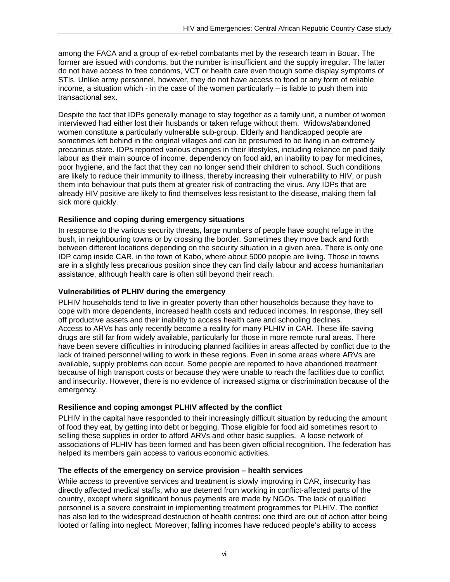among the FACA and a group of ex-rebel combatants met by the research team in Bouar. The former are issued with condoms, but the number is insufficient and the supply irregular. The latter do not have access to free condoms, VCT or health care even though some display symptoms of STIs. Unlike army personnel, however, they do not have access to food or any form of reliable income, a situation which - in the case of the women particularly – is liable to push them into transactional sex.

Despite the fact that IDPs generally manage to stay together as a family unit, a number of women interviewed had either lost their husbands or taken refuge without them. Widows/abandoned women constitute a particularly vulnerable sub-group. Elderly and handicapped people are sometimes left behind in the original villages and can be presumed to be living in an extremely precarious state. IDPs reported various changes in their lifestyles, including reliance on paid daily labour as their main source of income, dependency on food aid, an inability to pay for medicines, poor hygiene, and the fact that they can no longer send their children to school. Such conditions are likely to reduce their immunity to illness, thereby increasing their vulnerability to HIV, or push them into behaviour that puts them at greater risk of contracting the virus. Any IDPs that are already HIV positive are likely to find themselves less resistant to the disease, making them fall sick more quickly.

#### **Resilience and coping during emergency situations**

In response to the various security threats, large numbers of people have sought refuge in the bush, in neighbouring towns or by crossing the border. Sometimes they move back and forth between different locations depending on the security situation in a given area. There is only one IDP camp inside CAR, in the town of Kabo, where about 5000 people are living. Those in towns are in a slightly less precarious position since they can find daily labour and access humanitarian assistance, although health care is often still beyond their reach.

#### **Vulnerabilities of PLHIV during the emergency**

PLHIV households tend to live in greater poverty than other households because they have to cope with more dependents, increased health costs and reduced incomes. In response, they sell off productive assets and their inability to access health care and schooling declines. Access to ARVs has only recently become a reality for many PLHIV in CAR. These life-saving drugs are still far from widely available, particularly for those in more remote rural areas. There have been severe difficulties in introducing planned facilities in areas affected by conflict due to the lack of trained personnel willing to work in these regions. Even in some areas where ARVs are available, supply problems can occur. Some people are reported to have abandoned treatment because of high transport costs or because they were unable to reach the facilities due to conflict and insecurity. However, there is no evidence of increased stigma or discrimination because of the emergency.

#### **Resilience and coping amongst PLHIV affected by the conflict**

PLHIV in the capital have responded to their increasingly difficult situation by reducing the amount of food they eat, by getting into debt or begging. Those eligible for food aid sometimes resort to selling these supplies in order to afford ARVs and other basic supplies. A loose network of associations of PLHIV has been formed and has been given official recognition. The federation has helped its members gain access to various economic activities.

#### **The effects of the emergency on service provision – health services**

While access to preventive services and treatment is slowly improving in CAR, insecurity has directly affected medical staffs, who are deterred from working in conflict-affected parts of the country, except where significant bonus payments are made by NGOs. The lack of qualified personnel is a severe constraint in implementing treatment programmes for PLHIV. The conflict has also led to the widespread destruction of health centres: one third are out of action after being looted or falling into neglect. Moreover, falling incomes have reduced people's ability to access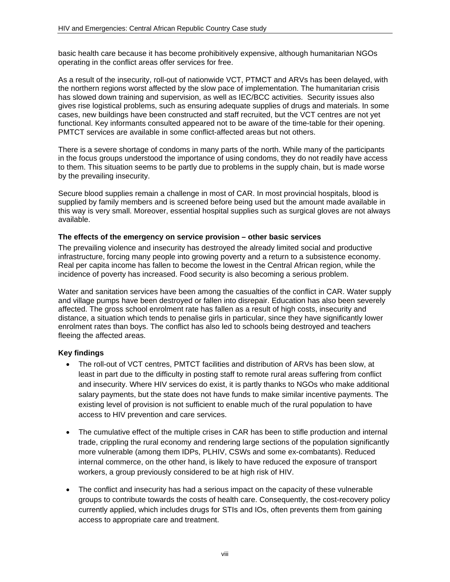basic health care because it has become prohibitively expensive, although humanitarian NGOs operating in the conflict areas offer services for free.

As a result of the insecurity, roll-out of nationwide VCT, PTMCT and ARVs has been delayed, with the northern regions worst affected by the slow pace of implementation. The humanitarian crisis has slowed down training and supervision, as well as IEC/BCC activities. Security issues also gives rise logistical problems, such as ensuring adequate supplies of drugs and materials. In some cases, new buildings have been constructed and staff recruited, but the VCT centres are not yet functional. Key informants consulted appeared not to be aware of the time-table for their opening. PMTCT services are available in some conflict-affected areas but not others.

There is a severe shortage of condoms in many parts of the north. While many of the participants in the focus groups understood the importance of using condoms, they do not readily have access to them. This situation seems to be partly due to problems in the supply chain, but is made worse by the prevailing insecurity.

Secure blood supplies remain a challenge in most of CAR. In most provincial hospitals, blood is supplied by family members and is screened before being used but the amount made available in this way is very small. Moreover, essential hospital supplies such as surgical gloves are not always available.

#### **The effects of the emergency on service provision – other basic services**

The prevailing violence and insecurity has destroyed the already limited social and productive infrastructure, forcing many people into growing poverty and a return to a subsistence economy. Real per capita income has fallen to become the lowest in the Central African region, while the incidence of poverty has increased. Food security is also becoming a serious problem.

Water and sanitation services have been among the casualties of the conflict in CAR. Water supply and village pumps have been destroyed or fallen into disrepair. Education has also been severely affected. The gross school enrolment rate has fallen as a result of high costs, insecurity and distance, a situation which tends to penalise girls in particular, since they have significantly lower enrolment rates than boys. The conflict has also led to schools being destroyed and teachers fleeing the affected areas.

#### **Key findings**

- The roll-out of VCT centres, PMTCT facilities and distribution of ARVs has been slow, at least in part due to the difficulty in posting staff to remote rural areas suffering from conflict and insecurity. Where HIV services do exist, it is partly thanks to NGOs who make additional salary payments, but the state does not have funds to make similar incentive payments. The existing level of provision is not sufficient to enable much of the rural population to have access to HIV prevention and care services.
- The cumulative effect of the multiple crises in CAR has been to stifle production and internal trade, crippling the rural economy and rendering large sections of the population significantly more vulnerable (among them IDPs, PLHIV, CSWs and some ex-combatants). Reduced internal commerce, on the other hand, is likely to have reduced the exposure of transport workers, a group previously considered to be at high risk of HIV.
- The conflict and insecurity has had a serious impact on the capacity of these vulnerable groups to contribute towards the costs of health care. Consequently, the cost-recovery policy currently applied, which includes drugs for STIs and IOs, often prevents them from gaining access to appropriate care and treatment.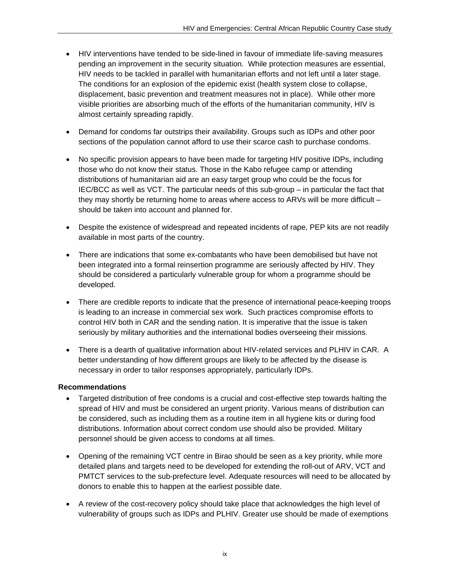- HIV interventions have tended to be side-lined in favour of immediate life-saving measures pending an improvement in the security situation. While protection measures are essential, HIV needs to be tackled in parallel with humanitarian efforts and not left until a later stage. The conditions for an explosion of the epidemic exist (health system close to collapse, displacement, basic prevention and treatment measures not in place). While other more visible priorities are absorbing much of the efforts of the humanitarian community, HIV is almost certainly spreading rapidly.
- Demand for condoms far outstrips their availability. Groups such as IDPs and other poor sections of the population cannot afford to use their scarce cash to purchase condoms.
- No specific provision appears to have been made for targeting HIV positive IDPs, including those who do not know their status. Those in the Kabo refugee camp or attending distributions of humanitarian aid are an easy target group who could be the focus for IEC/BCC as well as VCT. The particular needs of this sub-group – in particular the fact that they may shortly be returning home to areas where access to ARVs will be more difficult – should be taken into account and planned for.
- Despite the existence of widespread and repeated incidents of rape, PEP kits are not readily available in most parts of the country.
- There are indications that some ex-combatants who have been demobilised but have not been integrated into a formal reinsertion programme are seriously affected by HIV. They should be considered a particularly vulnerable group for whom a programme should be developed.
- There are credible reports to indicate that the presence of international peace-keeping troops is leading to an increase in commercial sex work. Such practices compromise efforts to control HIV both in CAR and the sending nation. It is imperative that the issue is taken seriously by military authorities and the international bodies overseeing their missions.
- There is a dearth of qualitative information about HIV-related services and PLHIV in CAR. A better understanding of how different groups are likely to be affected by the disease is necessary in order to tailor responses appropriately, particularly IDPs.

### **Recommendations**

- Targeted distribution of free condoms is a crucial and cost-effective step towards halting the spread of HIV and must be considered an urgent priority. Various means of distribution can be considered, such as including them as a routine item in all hygiene kits or during food distributions. Information about correct condom use should also be provided. Military personnel should be given access to condoms at all times.
- Opening of the remaining VCT centre in Birao should be seen as a key priority, while more detailed plans and targets need to be developed for extending the roll-out of ARV, VCT and PMTCT services to the sub-prefecture level. Adequate resources will need to be allocated by donors to enable this to happen at the earliest possible date.
- A review of the cost-recovery policy should take place that acknowledges the high level of vulnerability of groups such as IDPs and PLHIV. Greater use should be made of exemptions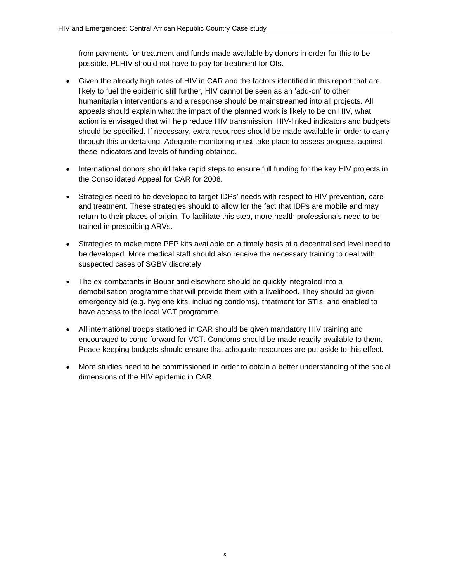from payments for treatment and funds made available by donors in order for this to be possible. PLHIV should not have to pay for treatment for OIs.

- Given the already high rates of HIV in CAR and the factors identified in this report that are likely to fuel the epidemic still further, HIV cannot be seen as an 'add-on' to other humanitarian interventions and a response should be mainstreamed into all projects. All appeals should explain what the impact of the planned work is likely to be on HIV, what action is envisaged that will help reduce HIV transmission. HIV-linked indicators and budgets should be specified. If necessary, extra resources should be made available in order to carry through this undertaking. Adequate monitoring must take place to assess progress against these indicators and levels of funding obtained.
- International donors should take rapid steps to ensure full funding for the key HIV projects in the Consolidated Appeal for CAR for 2008.
- Strategies need to be developed to target IDPs' needs with respect to HIV prevention, care and treatment. These strategies should to allow for the fact that IDPs are mobile and may return to their places of origin. To facilitate this step, more health professionals need to be trained in prescribing ARVs.
- Strategies to make more PEP kits available on a timely basis at a decentralised level need to be developed. More medical staff should also receive the necessary training to deal with suspected cases of SGBV discretely.
- The ex-combatants in Bouar and elsewhere should be quickly integrated into a demobilisation programme that will provide them with a livelihood. They should be given emergency aid (e.g. hygiene kits, including condoms), treatment for STIs, and enabled to have access to the local VCT programme.
- All international troops stationed in CAR should be given mandatory HIV training and encouraged to come forward for VCT. Condoms should be made readily available to them. Peace-keeping budgets should ensure that adequate resources are put aside to this effect.
- More studies need to be commissioned in order to obtain a better understanding of the social dimensions of the HIV epidemic in CAR.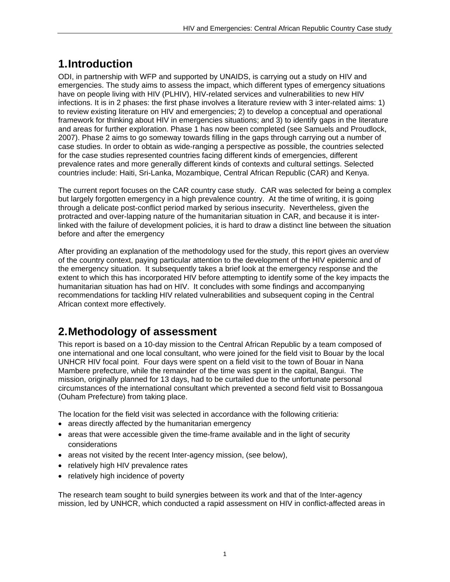# **1. Introduction**

ODI, in partnership with WFP and supported by UNAIDS, is carrying out a study on HIV and emergencies. The study aims to assess the impact, which different types of emergency situations have on people living with HIV (PLHIV), HIV-related services and vulnerabilities to new HIV infections. It is in 2 phases: the first phase involves a literature review with 3 inter-related aims: 1) to review existing literature on HIV and emergencies; 2) to develop a conceptual and operational framework for thinking about HIV in emergencies situations; and 3) to identify gaps in the literature and areas for further exploration. Phase 1 has now been completed (see Samuels and Proudlock, 2007). Phase 2 aims to go someway towards filling in the gaps through carrying out a number of case studies. In order to obtain as wide-ranging a perspective as possible, the countries selected for the case studies represented countries facing different kinds of emergencies, different prevalence rates and more generally different kinds of contexts and cultural settings. Selected countries include: Haiti, Sri-Lanka, Mozambique, Central African Republic (CAR) and Kenya.

The current report focuses on the CAR country case study. CAR was selected for being a complex but largely forgotten emergency in a high prevalence country. At the time of writing, it is going through a delicate post-conflict period marked by serious insecurity. Nevertheless, given the protracted and over-lapping nature of the humanitarian situation in CAR, and because it is interlinked with the failure of development policies, it is hard to draw a distinct line between the situation before and after the emergency

After providing an explanation of the methodology used for the study, this report gives an overview of the country context, paying particular attention to the development of the HIV epidemic and of the emergency situation. It subsequently takes a brief look at the emergency response and the extent to which this has incorporated HIV before attempting to identify some of the key impacts the humanitarian situation has had on HIV. It concludes with some findings and accompanying recommendations for tackling HIV related vulnerabilities and subsequent coping in the Central African context more effectively.

# **2. Methodology of assessment**

This report is based on a 10-day mission to the Central African Republic by a team composed of one international and one local consultant, who were joined for the field visit to Bouar by the local UNHCR HIV focal point. Four days were spent on a field visit to the town of Bouar in Nana Mambere prefecture, while the remainder of the time was spent in the capital, Bangui. The mission, originally planned for 13 days, had to be curtailed due to the unfortunate personal circumstances of the international consultant which prevented a second field visit to Bossangoua (Ouham Prefecture) from taking place.

The location for the field visit was selected in accordance with the following critieria:

- areas directly affected by the humanitarian emergency
- areas that were accessible given the time-frame available and in the light of security considerations
- areas not visited by the recent Inter-agency mission, (see below),
- relatively high HIV prevalence rates
- relatively high incidence of poverty

The research team sought to build synergies between its work and that of the Inter-agency mission, led by UNHCR, which conducted a rapid assessment on HIV in conflict-affected areas in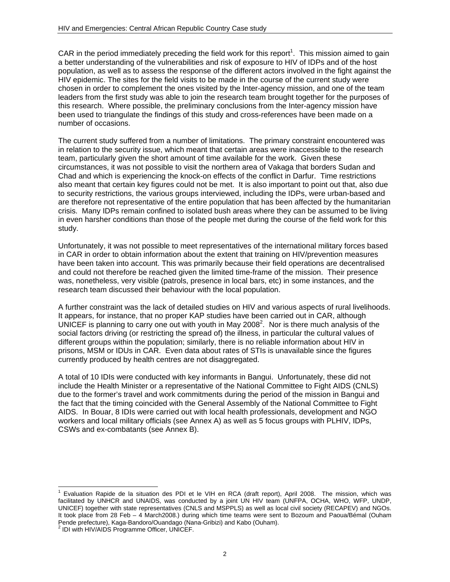CAR in the period immediately preceding the field work for this report<sup>1</sup>. This mission aimed to gain a better understanding of the vulnerabilities and risk of exposure to HIV of IDPs and of the host population, as well as to assess the response of the different actors involved in the fight against the HIV epidemic. The sites for the field visits to be made in the course of the current study were chosen in order to complement the ones visited by the Inter-agency mission, and one of the team leaders from the first study was able to join the research team brought together for the purposes of this research. Where possible, the preliminary conclusions from the Inter-agency mission have been used to triangulate the findings of this study and cross-references have been made on a number of occasions.

The current study suffered from a number of limitations. The primary constraint encountered was in relation to the security issue, which meant that certain areas were inaccessible to the research team, particularly given the short amount of time available for the work. Given these circumstances, it was not possible to visit the northern area of Vakaga that borders Sudan and Chad and which is experiencing the knock-on effects of the conflict in Darfur. Time restrictions also meant that certain key figures could not be met. It is also important to point out that, also due to security restrictions, the various groups interviewed, including the IDPs, were urban-based and are therefore not representative of the entire population that has been affected by the humanitarian crisis. Many IDPs remain confined to isolated bush areas where they can be assumed to be living in even harsher conditions than those of the people met during the course of the field work for this study.

Unfortunately, it was not possible to meet representatives of the international military forces based in CAR in order to obtain information about the extent that training on HIV/prevention measures have been taken into account. This was primarily because their field operations are decentralised and could not therefore be reached given the limited time-frame of the mission. Their presence was, nonetheless, very visible (patrols, presence in local bars, etc) in some instances, and the research team discussed their behaviour with the local population.

A further constraint was the lack of detailed studies on HIV and various aspects of rural livelihoods. It appears, for instance, that no proper KAP studies have been carried out in CAR, although UNICEF is planning to carry one out with youth in May 2008<sup>2</sup>. Nor is there much analysis of the social factors driving (or restricting the spread of) the illness, in particular the cultural values of different groups within the population; similarly, there is no reliable information about HIV in prisons, MSM or IDUs in CAR. Even data about rates of STIs is unavailable since the figures currently produced by health centres are not disaggregated.

A total of 10 IDIs were conducted with key informants in Bangui. Unfortunately, these did not include the Health Minister or a representative of the National Committee to Fight AIDS (CNLS) due to the former's travel and work commitments during the period of the mission in Bangui and the fact that the timing coincided with the General Assembly of the National Committee to Fight AIDS. In Bouar, 8 IDIs were carried out with local health professionals, development and NGO workers and local military officials (see Annex A) as well as 5 focus groups with PLHIV, IDPs, CSWs and ex-combatants (see Annex B).

 $\overline{a}$ 1 Evaluation Rapide de la situation des PDI et le VIH en RCA (draft report), April 2008. The mission, which was facilitated by UNHCR and UNAIDS, was conducted by a joint UN HIV team (UNFPA, OCHA, WHO, WFP, UNDP, UNICEF) together with state representatives (CNLS and MSPPLS) as well as local civil society (RECAPEV) and NGOs. It took place from 28 Feb – 4 March2008.) during which time teams were sent to Bozoum and Paoua/Bémal (Ouham Pende prefecture), Kaga-Bandoro/Ouandago (Nana-Gribizi) and Kabo (Ouham).

<sup>&</sup>lt;sup>2</sup> IDI with HIV/AIDS Programme Officer, UNICEF.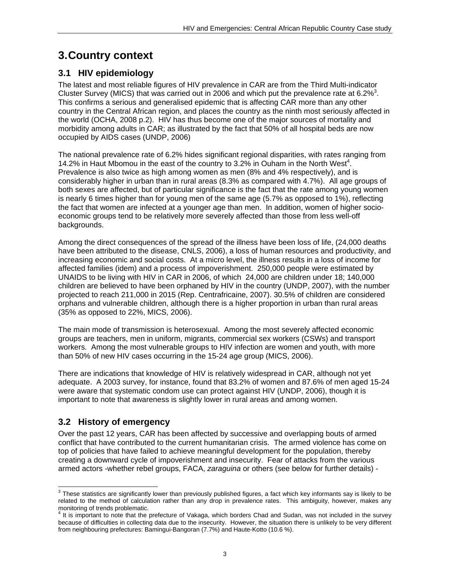# **3. Country context**

## **3.1 HIV epidemiology**

The latest and most reliable figures of HIV prevalence in CAR are from the Third Multi-indicator Cluster Survey (MICS) that was carried out in 2006 and which put the prevalence rate at 6.2% $^3$ . This confirms a serious and generalised epidemic that is affecting CAR more than any other country in the Central African region, and places the country as the ninth most seriously affected in the world (OCHA, 2008 p.2). HIV has thus become one of the major sources of mortality and morbidity among adults in CAR; as illustrated by the fact that 50% of all hospital beds are now occupied by AIDS cases (UNDP, 2006)

The national prevalence rate of 6.2% hides significant regional disparities, with rates ranging from 14.2% in Haut Mbomou in the east of the country to 3.2% in Ouham in the North West<sup>4</sup>. Prevalence is also twice as high among women as men (8% and 4% respectively), and is considerably higher in urban than in rural areas (8.3% as compared with 4.7%). All age groups of both sexes are affected, but of particular significance is the fact that the rate among young women is nearly 6 times higher than for young men of the same age (5.7% as opposed to 1%), reflecting the fact that women are infected at a younger age than men. In addition, women of higher socioeconomic groups tend to be relatively more severely affected than those from less well-off backgrounds.

Among the direct consequences of the spread of the illness have been loss of life, (24,000 deaths have been attributed to the disease, CNLS, 2006), a loss of human resources and productivity, and increasing economic and social costs. At a micro level, the illness results in a loss of income for affected families (idem) and a process of impoverishment. 250,000 people were estimated by UNAIDS to be living with HIV in CAR in 2006, of which 24,000 are children under 18; 140,000 children are believed to have been orphaned by HIV in the country (UNDP, 2007), with the number projected to reach 211,000 in 2015 (Rep. Centrafricaine, 2007). 30.5% of children are considered orphans and vulnerable children, although there is a higher proportion in urban than rural areas (35% as opposed to 22%, MICS, 2006).

The main mode of transmission is heterosexual. Among the most severely affected economic groups are teachers, men in uniform, migrants, commercial sex workers (CSWs) and transport workers. Among the most vulnerable groups to HIV infection are women and youth, with more than 50% of new HIV cases occurring in the 15-24 age group (MICS, 2006).

There are indications that knowledge of HIV is relatively widespread in CAR, although not yet adequate. A 2003 survey, for instance, found that 83.2% of women and 87.6% of men aged 15-24 were aware that systematic condom use can protect against HIV (UNDP, 2006), though it is important to note that awareness is slightly lower in rural areas and among women.

## **3.2 History of emergency**

Over the past 12 years, CAR has been affected by successive and overlapping bouts of armed conflict that have contributed to the current humanitarian crisis. The armed violence has come on top of policies that have failed to achieve meaningful development for the population, thereby creating a downward cycle of impoverishment and insecurity. Fear of attacks from the various armed actors -whether rebel groups, FACA, *zaraguina* or others (see below for further details) -

 $^3$  These statistics are significantly lower than previously published figures, a fact which key informants say is likely to be related to the method of calculation rather than any drop in prevalence rates. This ambiguity, however, makes any

monitoring of trends problematic.<br><sup>4</sup> It is important to note that the prefecture of Vakaga, which borders Chad and Sudan, was not included in the survey because of difficulties in collecting data due to the insecurity. However, the situation there is unlikely to be very different from neighbouring prefectures: Bamingui-Bangoran (7.7%) and Haute-Kotto (10.6 %).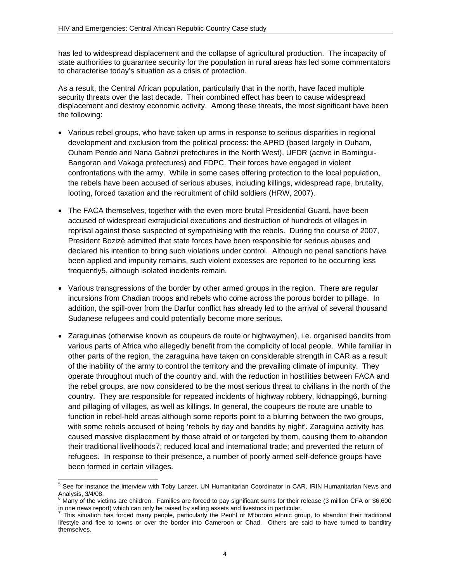has led to widespread displacement and the collapse of agricultural production. The incapacity of state authorities to guarantee security for the population in rural areas has led some commentators to characterise today's situation as a crisis of protection.

As a result, the Central African population, particularly that in the north, have faced multiple security threats over the last decade. Their combined effect has been to cause widespread displacement and destroy economic activity. Among these threats, the most significant have been the following:

- Various rebel groups, who have taken up arms in response to serious disparities in regional development and exclusion from the political process: the APRD (based largely in Ouham, Ouham Pende and Nana Gabrizi prefectures in the North West), UFDR (active in Bamingui-Bangoran and Vakaga prefectures) and FDPC. Their forces have engaged in violent confrontations with the army. While in some cases offering protection to the local population, the rebels have been accused of serious abuses, including killings, widespread rape, brutality, looting, forced taxation and the recruitment of child soldiers (HRW, 2007).
- The FACA themselves, together with the even more brutal Presidential Guard, have been accused of widespread extrajudicial executions and destruction of hundreds of villages in reprisal against those suspected of sympathising with the rebels. During the course of 2007, President Bozizé admitted that state forces have been responsible for serious abuses and declared his intention to bring such violations under control. Although no penal sanctions have been applied and impunity remains, such violent excesses are reported to be occurring less frequently5, although isolated incidents remain.
- Various transgressions of the border by other armed groups in the region. There are regular incursions from Chadian troops and rebels who come across the porous border to pillage. In addition, the spill-over from the Darfur conflict has already led to the arrival of several thousand Sudanese refugees and could potentially become more serious.
- Zaraguinas (otherwise known as coupeurs de route or highwaymen), i.e. organised bandits from various parts of Africa who allegedly benefit from the complicity of local people. While familiar in other parts of the region, the zaraguina have taken on considerable strength in CAR as a result of the inability of the army to control the territory and the prevailing climate of impunity. They operate throughout much of the country and, with the reduction in hostilities between FACA and the rebel groups, are now considered to be the most serious threat to civilians in the north of the country. They are responsible for repeated incidents of highway robbery, kidnapping6, burning and pillaging of villages, as well as killings. In general, the coupeurs de route are unable to function in rebel-held areas although some reports point to a blurring between the two groups, with some rebels accused of being 'rebels by day and bandits by night'. Zaraguina activity has caused massive displacement by those afraid of or targeted by them, causing them to abandon their traditional livelihoods7; reduced local and international trade; and prevented the return of refugees. In response to their presence, a number of poorly armed self-defence groups have been formed in certain villages.

l

<sup>5</sup> See for instance the interview with Toby Lanzer, UN Humanitarian Coordinator in CAR, IRIN Humanitarian News and Analysis, 3/4/08.<br><sup>6</sup> Many of the vict

Many of the victims are children. Families are forced to pay significant sums for their release (3 million CFA or \$6,600 in one news report) which can only be raised by selling assets and livestock in particular.<br>In This eitentian has fareed many nearle, particularly the Poubl or Miberare ethnic are

This situation has forced many people, particularly the Peuhl or M'bororo ethnic group, to abandon their traditional lifestyle and flee to towns or over the border into Cameroon or Chad. Others are said to have turned to banditry themselves.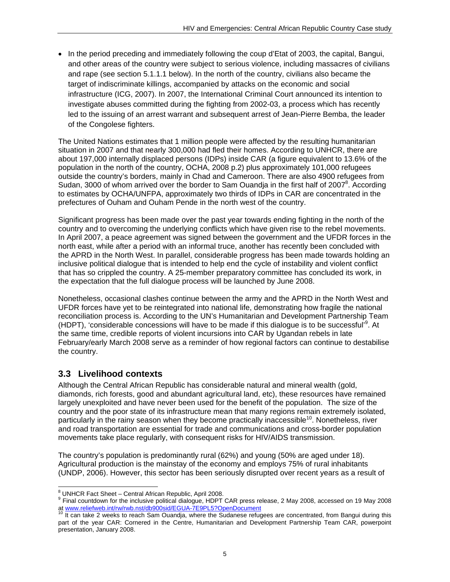• In the period preceding and immediately following the coup d'Etat of 2003, the capital, Bangui, and other areas of the country were subject to serious violence, including massacres of civilians and rape (see section 5.1.1.1 below). In the north of the country, civilians also became the target of indiscriminate killings, accompanied by attacks on the economic and social infrastructure (ICG, 2007). In 2007, the International Criminal Court announced its intention to investigate abuses committed during the fighting from 2002-03, a process which has recently led to the issuing of an arrest warrant and subsequent arrest of Jean-Pierre Bemba, the leader of the Congolese fighters.

The United Nations estimates that 1 million people were affected by the resulting humanitarian situation in 2007 and that nearly 300,000 had fled their homes. According to UNHCR, there are about 197,000 internally displaced persons (IDPs) inside CAR (a figure equivalent to 13.6% of the population in the north of the country, OCHA, 2008 p.2) plus approximately 101,000 refugees outside the country's borders, mainly in Chad and Cameroon. There are also 4900 refugees from Sudan, 3000 of whom arrived over the border to Sam Ouandja in the first half of 2007<sup>8</sup>. According to estimates by OCHA/UNFPA, approximately two thirds of IDPs in CAR are concentrated in the prefectures of Ouham and Ouham Pende in the north west of the country.

Significant progress has been made over the past year towards ending fighting in the north of the country and to overcoming the underlying conflicts which have given rise to the rebel movements. In April 2007, a peace agreement was signed between the government and the UFDR forces in the north east, while after a period with an informal truce, another has recently been concluded with the APRD in the North West. In parallel, considerable progress has been made towards holding an inclusive political dialogue that is intended to help end the cycle of instability and violent conflict that has so crippled the country. A 25-member preparatory committee has concluded its work, in the expectation that the full dialogue process will be launched by June 2008.

Nonetheless, occasional clashes continue between the army and the APRD in the North West and UFDR forces have yet to be reintegrated into national life, demonstrating how fragile the national reconciliation process is. According to the UN's Humanitarian and Development Partnership Team (HDPT), 'considerable concessions will have to be made if this dialogue is to be successful<sup>19</sup>. At the same time, credible reports of violent incursions into CAR by Ugandan rebels in late February/early March 2008 serve as a reminder of how regional factors can continue to destabilise the country.

## **3.3 Livelihood contexts**

Although the Central African Republic has considerable natural and mineral wealth (gold, diamonds, rich forests, good and abundant agricultural land, etc), these resources have remained largely unexploited and have never been used for the benefit of the population. The size of the country and the poor state of its infrastructure mean that many regions remain extremely isolated, particularly in the rainy season when they become practically inaccessible<sup>10</sup>. Nonetheless, river and road transportation are essential for trade and communications and cross-border population movements take place regularly, with consequent risks for HIV/AIDS transmission.

The country's population is predominantly rural (62%) and young (50% are aged under 18). Agricultural production is the mainstay of the economy and employs 75% of rural inhabitants (UNDP, 2006). However, this sector has been seriously disrupted over recent years as a result of

<sup>9</sup> Final countdown for the inclusive political dialogue, HDPT CAR press release, 2 May 2008, accessed on 19 May 2008<br>at www.reliefweb.int/rw/rwb.nst/db900sid/EGUA-7E9PL5?OpenDocument<br><sup>10</sup> It can take 2 weeks to reash flor

<sup>&</sup>lt;sup>8</sup> UNHCR Fact Sheet – Central African Republic, April 2008.<br><sup>9</sup> Fisel countdown for the inclusive political dialogue. HDPT

It can take 2 weeks to reach Sam Ouandja, where the Sudanese refugees are concentrated, from Bangui during this part of the year CAR: Cornered in the Centre, Humanitarian and Development Partnership Team CAR, powerpoint presentation, January 2008.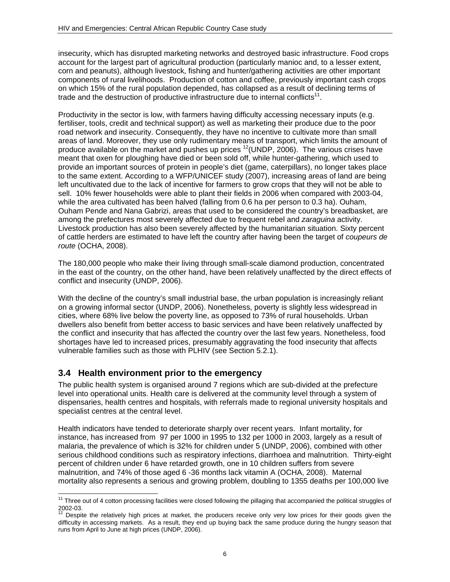insecurity, which has disrupted marketing networks and destroyed basic infrastructure. Food crops account for the largest part of agricultural production (particularly manioc and, to a lesser extent, corn and peanuts), although livestock, fishing and hunter/gathering activities are other important components of rural livelihoods. Production of cotton and coffee, previously important cash crops on which 15% of the rural population depended, has collapsed as a result of declining terms of trade and the destruction of productive infrastructure due to internal conflicts<sup>11</sup>.

Productivity in the sector is low, with farmers having difficulty accessing necessary inputs (e.g. fertiliser, tools, credit and technical support) as well as marketing their produce due to the poor road network and insecurity. Consequently, they have no incentive to cultivate more than small areas of land. Moreover, they use only rudimentary means of transport, which limits the amount of produce available on the market and pushes up prices  $12$ (UNDP, 2006). The various crises have meant that oxen for ploughing have died or been sold off, while hunter-gathering, which used to provide an important sources of protein in people's diet (game, caterpillars), no longer takes place to the same extent. According to a WFP/UNICEF study (2007), increasing areas of land are being left uncultivated due to the lack of incentive for farmers to grow crops that they will not be able to sell. 10% fewer households were able to plant their fields in 2006 when compared with 2003-04, while the area cultivated has been halved (falling from 0.6 ha per person to 0.3 ha). Ouham, Ouham Pende and Nana Gabrizi, areas that used to be considered the country's breadbasket, are among the prefectures most severely affected due to frequent rebel and *zaraguina* activity. Livestock production has also been severely affected by the humanitarian situation. Sixty percent of cattle herders are estimated to have left the country after having been the target of *coupeurs de route* (OCHA, 2008).

The 180,000 people who make their living through small-scale diamond production, concentrated in the east of the country, on the other hand, have been relatively unaffected by the direct effects of conflict and insecurity (UNDP, 2006).

With the decline of the country's small industrial base, the urban population is increasingly reliant on a growing informal sector (UNDP, 2006). Nonetheless, poverty is slightly less widespread in cities, where 68% live below the poverty line, as opposed to 73% of rural households. Urban dwellers also benefit from better access to basic services and have been relatively unaffected by the conflict and insecurity that has affected the country over the last few years. Nonetheless, food shortages have led to increased prices, presumably aggravating the food insecurity that affects vulnerable families such as those with PLHIV (see Section 5.2.1).

## **3.4 Health environment prior to the emergency**

The public health system is organised around 7 regions which are sub-divided at the prefecture level into operational units. Health care is delivered at the community level through a system of dispensaries, health centres and hospitals, with referrals made to regional university hospitals and specialist centres at the central level.

Health indicators have tended to deteriorate sharply over recent years. Infant mortality, for instance, has increased from 97 per 1000 in 1995 to 132 per 1000 in 2003, largely as a result of malaria, the prevalence of which is 32% for children under 5 (UNDP, 2006), combined with other serious childhood conditions such as respiratory infections, diarrhoea and malnutrition. Thirty-eight percent of children under 6 have retarded growth, one in 10 children suffers from severe malnutrition, and 74% of those aged 6 -36 months lack vitamin A (OCHA, 2008). Maternal mortality also represents a serious and growing problem, doubling to 1355 deaths per 100,000 live

l  $11$  Three out of 4 cotton processing facilities were closed following the pillaging that accompanied the political struggles of 2002-03.

Despite the relatively high prices at market, the producers receive only very low prices for their goods given the difficulty in accessing markets. As a result, they end up buying back the same produce during the hungry season that runs from April to June at high prices (UNDP, 2006).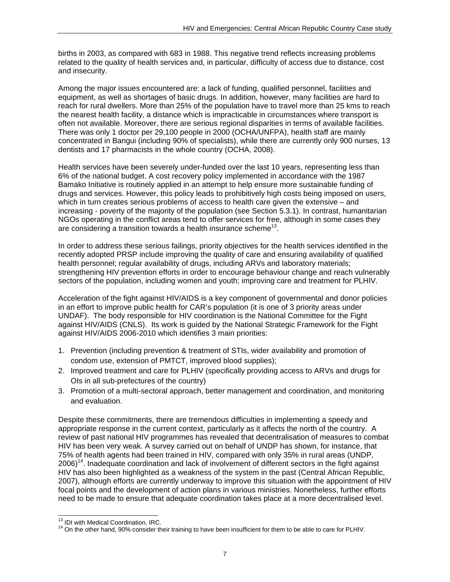births in 2003, as compared with 683 in 1988. This negative trend reflects increasing problems related to the quality of health services and, in particular, difficulty of access due to distance, cost and insecurity.

Among the major issues encountered are: a lack of funding, qualified personnel, facilities and equipment, as well as shortages of basic drugs. In addition, however, many facilities are hard to reach for rural dwellers. More than 25% of the population have to travel more than 25 kms to reach the nearest health facility, a distance which is impracticable in circumstances where transport is often not available. Moreover, there are serious regional disparities in terms of available facilities. There was only 1 doctor per 29,100 people in 2000 (OCHA/UNFPA), health staff are mainly concentrated in Bangui (including 90% of specialists), while there are currently only 900 nurses, 13 dentists and 17 pharmacists in the whole country (OCHA, 2008).

Health services have been severely under-funded over the last 10 years, representing less than 6% of the national budget. A cost recovery policy implemented in accordance with the 1987 Bamako Initiative is routinely applied in an attempt to help ensure more sustainable funding of drugs and services. However, this policy leads to prohibitively high costs being imposed on users, which in turn creates serious problems of access to health care given the extensive – and increasing - poverty of the majority of the population (see Section 5.3.1). In contrast, humanitarian NGOs operating in the conflict areas tend to offer services for free, although in some cases they are considering a transition towards a health insurance scheme<sup>13</sup>.

In order to address these serious failings, priority objectives for the health services identified in the recently adopted PRSP include improving the quality of care and ensuring availability of qualified health personnel; regular availability of drugs, including ARVs and laboratory materials; strengthening HIV prevention efforts in order to encourage behaviour change and reach vulnerably sectors of the population, including women and youth; improving care and treatment for PLHIV.

Acceleration of the fight against HIV/AIDS is a key component of governmental and donor policies in an effort to improve public health for CAR's population (it is one of 3 priority areas under UNDAF). The body responsible for HIV coordination is the National Committee for the Fight against HIV/AIDS (CNLS). Its work is guided by the National Strategic Framework for the Fight against HIV/AIDS 2006-2010 which identifies 3 main priorities:

- 1. Prevention (including prevention & treatment of STIs, wider availability and promotion of condom use, extension of PMTCT, improved blood supplies);
- 2. Improved treatment and care for PLHIV (specifically providing access to ARVs and drugs for OIs in all sub-prefectures of the country)
- 3. Promotion of a multi-sectoral approach, better management and coordination, and monitoring and evaluation.

Despite these commitments, there are tremendous difficulties in implementing a speedy and appropriate response in the current context, particularly as it affects the north of the country. A review of past national HIV programmes has revealed that decentralisation of measures to combat HIV has been very weak. A survey carried out on behalf of UNDP has shown, for instance, that 75% of health agents had been trained in HIV, compared with only 35% in rural areas (UNDP,  $2006$ <sup>14</sup>. Inadequate coordination and lack of involvement of different sectors in the fight against HIV has also been highlighted as a weakness of the system in the past (Central African Republic, 2007), although efforts are currently underway to improve this situation with the appointment of HIV focal points and the development of action plans in various ministries. Nonetheless, further efforts need to be made to ensure that adequate coordination takes place at a more decentralised level.

<sup>&</sup>lt;sup>13</sup> IDI with Medical Coordination, IRC.

 $14$  On the other hand, 90% consider their training to have been insufficient for them to be able to care for PLHIV.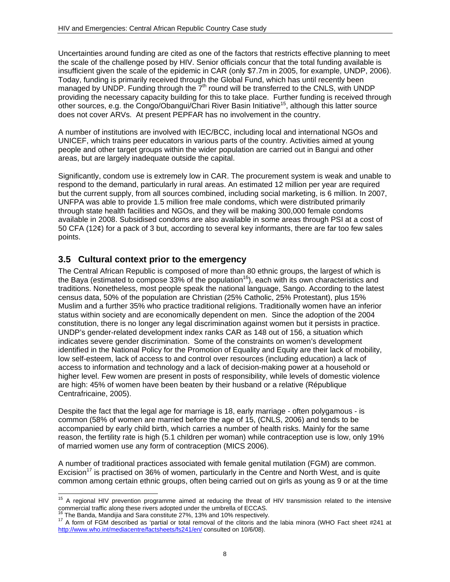Uncertainties around funding are cited as one of the factors that restricts effective planning to meet the scale of the challenge posed by HIV. Senior officials concur that the total funding available is insufficient given the scale of the epidemic in CAR (only \$7.7m in 2005, for example, UNDP, 2006). Today, funding is primarily received through the Global Fund, which has until recently been managed by UNDP. Funding through the  $7<sup>th</sup>$  round will be transferred to the CNLS, with UNDP providing the necessary capacity building for this to take place. Further funding is received through other sources, e.g. the Congo/Obangui/Chari River Basin Initiative<sup>15</sup>, although this latter source does not cover ARVs. At present PEPFAR has no involvement in the country.

A number of institutions are involved with IEC/BCC, including local and international NGOs and UNICEF, which trains peer educators in various parts of the country. Activities aimed at young people and other target groups within the wider population are carried out in Bangui and other areas, but are largely inadequate outside the capital.

Significantly, condom use is extremely low in CAR. The procurement system is weak and unable to respond to the demand, particularly in rural areas. An estimated 12 million per year are required but the current supply, from all sources combined, including social marketing, is 6 million. In 2007, UNFPA was able to provide 1.5 million free male condoms, which were distributed primarily through state health facilities and NGOs, and they will be making 300,000 female condoms available in 2008. Subsidised condoms are also available in some areas through PSI at a cost of 50 CFA (12¢) for a pack of 3 but, according to several key informants, there are far too few sales points.

## **3.5 Cultural context prior to the emergency**

The Central African Republic is composed of more than 80 ethnic groups, the largest of which is the Baya (estimated to compose 33% of the population<sup>16</sup>), each with its own characteristics and traditions. Nonetheless, most people speak the national language, Sango. According to the latest census data, 50% of the population are Christian (25% Catholic, 25% Protestant), plus 15% Muslim and a further 35% who practice traditional religions. Traditionally women have an inferior status within society and are economically dependent on men. Since the adoption of the 2004 constitution, there is no longer any legal discrimination against women but it persists in practice. UNDP's gender-related development index ranks CAR as 148 out of 156, a situation which indicates severe gender discrimination. Some of the constraints on women's development identified in the National Policy for the Promotion of Equality and Equity are their lack of mobility, low self-esteem, lack of access to and control over resources (including education) a lack of access to information and technology and a lack of decision-making power at a household or higher level. Few women are present in posts of responsibility, while levels of domestic violence are high: 45% of women have been beaten by their husband or a relative (République Centrafricaine, 2005).

Despite the fact that the legal age for marriage is 18, early marriage - often polygamous - is common (58% of women are married before the age of 15, (CNLS, 2006) and tends to be accompanied by early child birth, which carries a number of health risks. Mainly for the same reason, the fertility rate is high (5.1 children per woman) while contraception use is low, only 19% of married women use any form of contraception (MICS 2006).

A number of traditional practices associated with female genital mutilation (FGM) are common. Excision<sup>17</sup> is practised on 36% of women, particularly in the Centre and North West, and is quite common among certain ethnic groups, often being carried out on girls as young as 9 or at the time

l <sup>15</sup> A regional HIV prevention programme aimed at reducing the threat of HIV transmission related to the intensive commercial traffic along these rivers adopted under the umbrella of ECCAS.<br><sup>16</sup><sub>17</sub> The Banda, Mandijia and Sara constitute 27%, 13% and 10% respectively.

<sup>&</sup>lt;sup>17</sup> A form of FGM described as 'partial or total removal of the clitoris and the labia minora (WHO Fact sheet #241 at http://www.who.int/mediacentre/factsheets/fs241/en/ consulted on 10/6/08).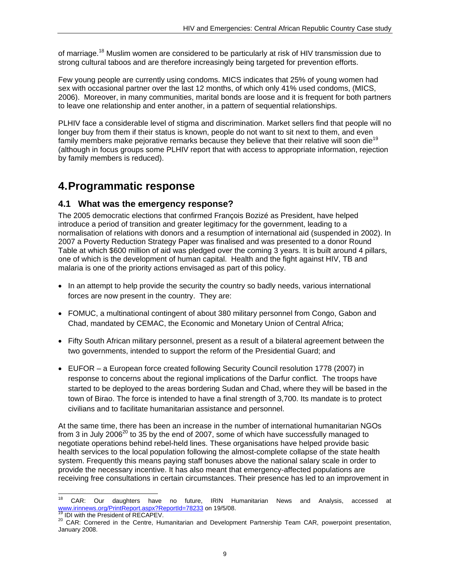of marriage.<sup>18</sup> Muslim women are considered to be particularly at risk of HIV transmission due to strong cultural taboos and are therefore increasingly being targeted for prevention efforts.

Few young people are currently using condoms. MICS indicates that 25% of young women had sex with occasional partner over the last 12 months, of which only 41% used condoms, (MICS, 2006). Moreover, in many communities, marital bonds are loose and it is frequent for both partners to leave one relationship and enter another, in a pattern of sequential relationships.

PLHIV face a considerable level of stigma and discrimination. Market sellers find that people will no longer buy from them if their status is known, people do not want to sit next to them, and even family members make pejorative remarks because they believe that their relative will soon die<sup>19</sup> (although in focus groups some PLHIV report that with access to appropriate information, rejection by family members is reduced).

## **4. Programmatic response**

### **4.1 What was the emergency response?**

The 2005 democratic elections that confirmed François Bozizé as President, have helped introduce a period of transition and greater legitimacy for the government, leading to a normalisation of relations with donors and a resumption of international aid (suspended in 2002). In 2007 a Poverty Reduction Strategy Paper was finalised and was presented to a donor Round Table at which \$600 million of aid was pledged over the coming 3 years. It is built around 4 pillars, one of which is the development of human capital. Health and the fight against HIV, TB and malaria is one of the priority actions envisaged as part of this policy.

- In an attempt to help provide the security the country so badly needs, various international forces are now present in the country. They are:
- FOMUC, a multinational contingent of about 380 military personnel from Congo, Gabon and Chad, mandated by CEMAC, the Economic and Monetary Union of Central Africa;
- Fifty South African military personnel, present as a result of a bilateral agreement between the two governments, intended to support the reform of the Presidential Guard; and
- EUFOR a European force created following Security Council resolution 1778 (2007) in response to concerns about the regional implications of the Darfur conflict. The troops have started to be deployed to the areas bordering Sudan and Chad, where they will be based in the town of Birao. The force is intended to have a final strength of 3,700. Its mandate is to protect civilians and to facilitate humanitarian assistance and personnel.

At the same time, there has been an increase in the number of international humanitarian NGOs from 3 in July 2006 $^{20}$  to 35 by the end of 2007, some of which have successfully managed to negotiate operations behind rebel-held lines. These organisations have helped provide basic health services to the local population following the almost-complete collapse of the state health system. Frequently this means paying staff bonuses above the national salary scale in order to provide the necessary incentive. It has also meant that emergency-affected populations are receiving free consultations in certain circumstances. Their presence has led to an improvement in

<sup>18</sup> <sup>18</sup> CAR: Our daughters have no future, IRIN Humanitarian News and Analysis, accessed at<br>www.irinnews.org/PrintReport.aspx?ReportId=78233</u> on 19/5/08.

<sup>&</sup>lt;sup>19</sup> IDI with the President of RECAPEV.<br><sup>20</sup> CAR: Cornered in the Centre, Humanitarian and Development Partnership Team CAR, powerpoint presentation, January 2008.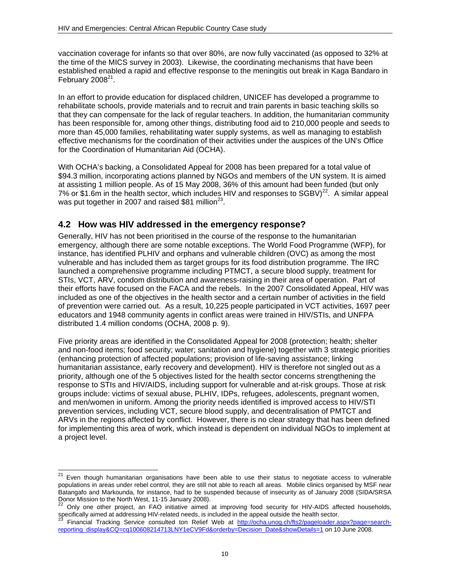vaccination coverage for infants so that over 80%, are now fully vaccinated (as opposed to 32% at the time of the MICS survey in 2003). Likewise, the coordinating mechanisms that have been established enabled a rapid and effective response to the meningitis out break in Kaga Bandaro in February 2008 $21$ .

In an effort to provide education for displaced children, UNICEF has developed a programme to rehabilitate schools, provide materials and to recruit and train parents in basic teaching skills so that they can compensate for the lack of regular teachers. In addition, the humanitarian community has been responsible for, among other things, distributing food aid to 210,000 people and seeds to more than 45,000 families, rehabilitating water supply systems, as well as managing to establish effective mechanisms for the coordination of their activities under the auspices of the UN's Office for the Coordination of Humanitarian Aid (OCHA).

With OCHA's backing, a Consolidated Appeal for 2008 has been prepared for a total value of \$94.3 million, incorporating actions planned by NGOs and members of the UN system. It is aimed at assisting 1 million people. As of 15 May 2008, 36% of this amount had been funded (but only 7% or \$1.6m in the health sector, which includes HIV and responses to SGBV)<sup>22</sup>. A similar appeal was put together in 2007 and raised \$81 million<sup>23</sup>.

## **4.2 How was HIV addressed in the emergency response?**

Generally, HIV has not been prioritised in the course of the response to the humanitarian emergency, although there are some notable exceptions. The World Food Programme (WFP), for instance, has identified PLHIV and orphans and vulnerable children (OVC) as among the most vulnerable and has included them as target groups for its food distribution programme. The IRC launched a comprehensive programme including PTMCT, a secure blood supply, treatment for STIs, VCT, ARV, condom distribution and awareness-raising in their area of operation. Part of their efforts have focused on the FACA and the rebels. In the 2007 Consolidated Appeal, HIV was included as one of the objectives in the health sector and a certain number of activities in the field of prevention were carried out. As a result, 10,225 people participated in VCT activities, 1697 peer educators and 1948 community agents in conflict areas were trained in HIV/STIs, and UNFPA distributed 1.4 million condoms (OCHA, 2008 p. 9).

Five priority areas are identified in the Consolidated Appeal for 2008 (protection; health; shelter and non-food items; food security; water; sanitation and hygiene) together with 3 strategic priorities (enhancing protection of affected populations; provision of life-saving assistance; linking humanitarian assistance, early recovery and development). HIV is therefore not singled out as a priority, although one of the 5 objectives listed for the health sector concerns strengthening the response to STIs and HIV/AIDS, including support for vulnerable and at-risk groups. Those at risk groups include: victims of sexual abuse, PLHIV, IDPs, refugees, adolescents, pregnant women, and men/women in uniform. Among the priority needs identified is improved access to HIV/STI prevention services, including VCT, secure blood supply, and decentralisation of PMTCT and ARVs in the regions affected by conflict. However, there is no clear strategy that has been defined for implementing this area of work, which instead is dependent on individual NGOs to implement at a project level.

<sup>21</sup> 21 Even though humanitarian organisations have been able to use their status to negotiate access to vulnerable populations in areas under rebel control, they are still not able to reach all areas. Mobile clinics organised by MSF near Batangafo and Markounda, for instance, had to be suspended because of insecurity as of January 2008 (SIDA/SRSA Donor Mission to the North West, 11-15 January 2008).

<sup>22</sup> Only one other project, an FAO initiative aimed at improving food security for HIV-AIDS affected households, specifically aimed at addressing HIV-related needs, is included in the appeal outside the health sector.

Financial Tracking Service consulted ton Relief Web at http://ocha.unog.ch/fts2/pageloader.aspx?page=searchreporting\_display&CQ=cq100608214713LNY1eCV9Fd&orderby=Decision\_Date&showDetails=1 on 10 June 2008.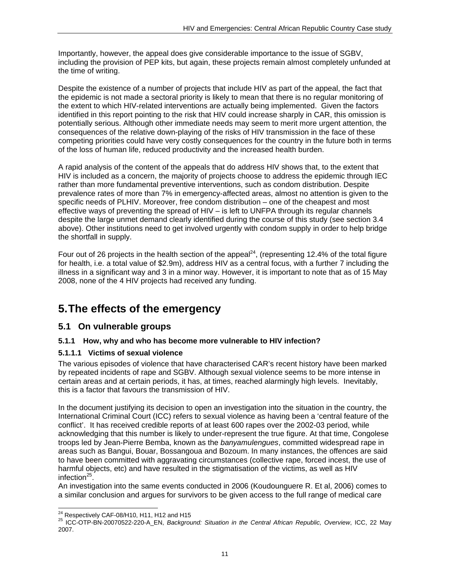Importantly, however, the appeal does give considerable importance to the issue of SGBV, including the provision of PEP kits, but again, these projects remain almost completely unfunded at the time of writing.

Despite the existence of a number of projects that include HIV as part of the appeal, the fact that the epidemic is not made a sectoral priority is likely to mean that there is no regular monitoring of the extent to which HIV-related interventions are actually being implemented. Given the factors identified in this report pointing to the risk that HIV could increase sharply in CAR, this omission is potentially serious. Although other immediate needs may seem to merit more urgent attention, the consequences of the relative down-playing of the risks of HIV transmission in the face of these competing priorities could have very costly consequences for the country in the future both in terms of the loss of human life, reduced productivity and the increased health burden.

A rapid analysis of the content of the appeals that do address HIV shows that, to the extent that HIV is included as a concern, the majority of projects choose to address the epidemic through IEC rather than more fundamental preventive interventions, such as condom distribution. Despite prevalence rates of more than 7% in emergency-affected areas, almost no attention is given to the specific needs of PLHIV. Moreover, free condom distribution – one of the cheapest and most effective ways of preventing the spread of HIV – is left to UNFPA through its regular channels despite the large unmet demand clearly identified during the course of this study (see section 3.4 above). Other institutions need to get involved urgently with condom supply in order to help bridge the shortfall in supply.

Four out of 26 projects in the health section of the appeal<sup>24</sup>, (representing 12.4% of the total figure for health, i.e. a total value of \$2.9m), address HIV as a central focus, with a further 7 including the illness in a significant way and 3 in a minor way. However, it is important to note that as of 15 May 2008, none of the 4 HIV projects had received any funding.

# **5. The effects of the emergency**

## **5.1 On vulnerable groups**

### **5.1.1 How, why and who has become more vulnerable to HIV infection?**

### **5.1.1.1 Victims of sexual violence**

The various episodes of violence that have characterised CAR's recent history have been marked by repeated incidents of rape and SGBV. Although sexual violence seems to be more intense in certain areas and at certain periods, it has, at times, reached alarmingly high levels. Inevitably, this is a factor that favours the transmission of HIV.

In the document justifying its decision to open an investigation into the situation in the country, the International Criminal Court (ICC) refers to sexual violence as having been a 'central feature of the conflict'. It has received credible reports of at least 600 rapes over the 2002-03 period, while acknowledging that this number is likely to under-represent the true figure. At that time, Congolese troops led by Jean-Pierre Bemba, known as the *banyamulengues*, committed widespread rape in areas such as Bangui, Bouar, Bossangoua and Bozoum. In many instances, the offences are said to have been committed with aggravating circumstances (collective rape, forced incest, the use of harmful objects, etc) and have resulted in the stigmatisation of the victims, as well as HIV infection $25$ .

An investigation into the same events conducted in 2006 (Koudounguere R. Et al, 2006) comes to a similar conclusion and argues for survivors to be given access to the full range of medical care

<sup>&</sup>lt;sup>24</sup> Respectively CAF-08/H10, H11, H12 and H15

<sup>24</sup> Respectively CAF-08/H10, H11, H12 and H15 25 ICC-OTP-BN-20070522-220-A\_EN, *Background: Situation in the Central African Republic, Overview*, ICC, 22 May 2007.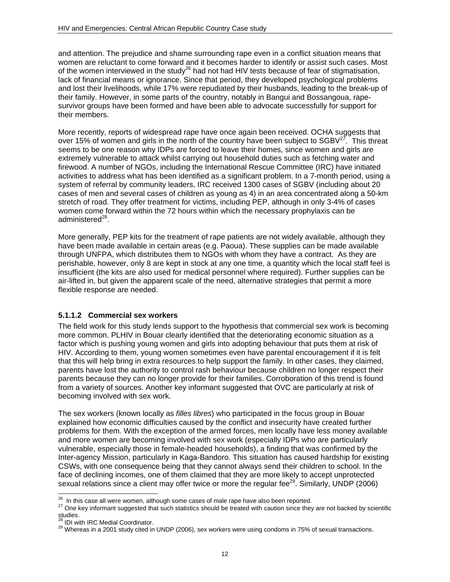and attention. The prejudice and shame surrounding rape even in a conflict situation means that women are reluctant to come forward and it becomes harder to identify or assist such cases. Most of the women interviewed in the study<sup>26</sup> had not had HIV tests because of fear of stigmatisation, lack of financial means or ignorance. Since that period, they developed psychological problems and lost their livelihoods, while 17% were repudiated by their husbands, leading to the break-up of their family. However, in some parts of the country, notably in Bangui and Bossangoua, rapesurvivor groups have been formed and have been able to advocate successfully for support for their members.

More recently, reports of widespread rape have once again been received. OCHA suggests that over 15% of women and girls in the north of the country have been subject to  $SGBV^{27}$ . This threat seems to be one reason why IDPs are forced to leave their homes, since women and girls are extremely vulnerable to attack whilst carrying out household duties such as fetching water and firewood. A number of NGOs, including the International Rescue Committee (IRC) have initiated activities to address what has been identified as a significant problem. In a 7-month period, using a system of referral by community leaders, IRC received 1300 cases of SGBV (including about 20 cases of men and several cases of children as young as 4) in an area concentrated along a 50-km stretch of road. They offer treatment for victims, including PEP, although in only 3-4% of cases women come forward within the 72 hours within which the necessary prophylaxis can be administered $^{28}$ .

More generally, PEP kits for the treatment of rape patients are not widely available, although they have been made available in certain areas (e.g. Paoua). These supplies can be made available through UNFPA, which distributes them to NGOs with whom they have a contract. As they are perishable, however, only 8 are kept in stock at any one time, a quantity which the local staff feel is insufficient (the kits are also used for medical personnel where required). Further supplies can be air-lifted in, but given the apparent scale of the need, alternative strategies that permit a more flexible response are needed.

### **5.1.1.2 Commercial sex workers**

The field work for this study lends support to the hypothesis that commercial sex work is becoming more common. PLHIV in Bouar clearly identified that the deteriorating economic situation as a factor which is pushing young women and girls into adopting behaviour that puts them at risk of HIV. According to them, young women sometimes even have parental encouragement if it is felt that this will help bring in extra resources to help support the family. In other cases, they claimed, parents have lost the authority to control rash behaviour because children no longer respect their parents because they can no longer provide for their families. Corroboration of this trend is found from a variety of sources. Another key informant suggested that OVC are particularly at risk of becoming involved with sex work.

The sex workers (known locally as *filles libres*) who participated in the focus group in Bouar explained how economic difficulties caused by the conflict and insecurity have created further problems for them. With the exception of the armed forces, men locally have less money available and more women are becoming involved with sex work (especially IDPs who are particularly vulnerable, especially those in female-headed households), a finding that was confirmed by the Inter-agency Mission, particularly in Kaga-Bandoro. This situation has caused hardship for existing CSWs, with one consequence being that they cannot always send their children to school. In the face of declining incomes, one of them claimed that they are more likely to accept unprotected sexual relations since a client may offer twice or more the regular fee<sup>29</sup>. Similarly, UNDP (2006)

<sup>&</sup>lt;sup>26</sup> In this case all were women, although some cases of male rape have also been reported.

<sup>27</sup> One key informant suggested that such statistics should be treated with caution since they are not backed by scientific<br>studies.<br><sup>28</sup> IDI with IRC Medial Coordinator.

<sup>29</sup> Whereas in a 2001 study cited in UNDP (2006), sex workers were using condoms in 75% of sexual transactions.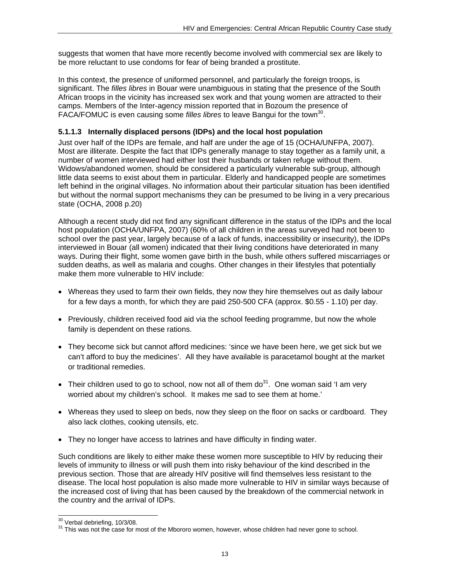suggests that women that have more recently become involved with commercial sex are likely to be more reluctant to use condoms for fear of being branded a prostitute.

In this context, the presence of uniformed personnel, and particularly the foreign troops, is significant. The *filles libres* in Bouar were unambiguous in stating that the presence of the South African troops in the vicinity has increased sex work and that young women are attracted to their camps. Members of the Inter-agency mission reported that in Bozoum the presence of FACA/FOMUC is even causing some *filles libres* to leave Bangui for the town<sup>30</sup>.

#### **5.1.1.3 Internally displaced persons (IDPs) and the local host population**

Just over half of the IDPs are female, and half are under the age of 15 (OCHA/UNFPA, 2007). Most are illiterate. Despite the fact that IDPs generally manage to stay together as a family unit, a number of women interviewed had either lost their husbands or taken refuge without them. Widows/abandoned women, should be considered a particularly vulnerable sub-group, although little data seems to exist about them in particular. Elderly and handicapped people are sometimes left behind in the original villages. No information about their particular situation has been identified but without the normal support mechanisms they can be presumed to be living in a very precarious state (OCHA, 2008 p.20)

Although a recent study did not find any significant difference in the status of the IDPs and the local host population (OCHA/UNFPA, 2007) (60% of all children in the areas surveyed had not been to school over the past year, largely because of a lack of funds, inaccessibility or insecurity), the IDPs interviewed in Bouar (all women) indicated that their living conditions have deteriorated in many ways. During their flight, some women gave birth in the bush, while others suffered miscarriages or sudden deaths, as well as malaria and coughs. Other changes in their lifestyles that potentially make them more vulnerable to HIV include:

- Whereas they used to farm their own fields, they now they hire themselves out as daily labour for a few days a month, for which they are paid 250-500 CFA (approx. \$0.55 - 1.10) per day.
- Previously, children received food aid via the school feeding programme, but now the whole family is dependent on these rations.
- They become sick but cannot afford medicines: 'since we have been here, we get sick but we can't afford to buy the medicines'. All they have available is paracetamol bought at the market or traditional remedies.
- Their children used to go to school, now not all of them  $do<sup>31</sup>$ . One woman said 'I am very worried about my children's school. It makes me sad to see them at home.'
- Whereas they used to sleep on beds, now they sleep on the floor on sacks or cardboard. They also lack clothes, cooking utensils, etc.
- They no longer have access to latrines and have difficulty in finding water.

Such conditions are likely to either make these women more susceptible to HIV by reducing their levels of immunity to illness or will push them into risky behaviour of the kind described in the previous section. Those that are already HIV positive will find themselves less resistant to the disease. The local host population is also made more vulnerable to HIV in similar ways because of the increased cost of living that has been caused by the breakdown of the commercial network in the country and the arrival of IDPs.

<sup>&</sup>lt;sup>30</sup> Verbal debriefing, 10/3/08.

<sup>&</sup>lt;sup>31</sup> This was not the case for most of the Mbororo women, however, whose children had never gone to school.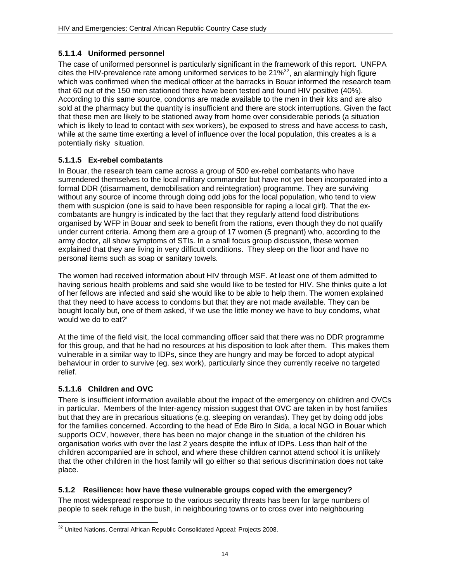### **5.1.1.4 Uniformed personnel**

The case of uniformed personnel is particularly significant in the framework of this report. UNFPA cites the HIV-prevalence rate among uniformed services to be  $21\%^{32}$ , an alarmingly high figure which was confirmed when the medical officer at the barracks in Bouar informed the research team that 60 out of the 150 men stationed there have been tested and found HIV positive (40%). According to this same source, condoms are made available to the men in their kits and are also sold at the pharmacy but the quantity is insufficient and there are stock interruptions. Given the fact that these men are likely to be stationed away from home over considerable periods (a situation which is likely to lead to contact with sex workers), be exposed to stress and have access to cash, while at the same time exerting a level of influence over the local population, this creates a is a potentially risky situation.

## **5.1.1.5 Ex-rebel combatants**

In Bouar, the research team came across a group of 500 ex-rebel combatants who have surrendered themselves to the local military commander but have not yet been incorporated into a formal DDR (disarmament, demobilisation and reintegration) programme. They are surviving without any source of income through doing odd jobs for the local population, who tend to view them with suspicion (one is said to have been responsible for raping a local girl). That the excombatants are hungry is indicated by the fact that they regularly attend food distributions organised by WFP in Bouar and seek to benefit from the rations, even though they do not qualify under current criteria. Among them are a group of 17 women (5 pregnant) who, according to the army doctor, all show symptoms of STIs. In a small focus group discussion, these women explained that they are living in very difficult conditions. They sleep on the floor and have no personal items such as soap or sanitary towels.

The women had received information about HIV through MSF. At least one of them admitted to having serious health problems and said she would like to be tested for HIV. She thinks quite a lot of her fellows are infected and said she would like to be able to help them. The women explained that they need to have access to condoms but that they are not made available. They can be bought locally but, one of them asked, 'if we use the little money we have to buy condoms, what would we do to eat?'

At the time of the field visit, the local commanding officer said that there was no DDR programme for this group, and that he had no resources at his disposition to look after them. This makes them vulnerable in a similar way to IDPs, since they are hungry and may be forced to adopt atypical behaviour in order to survive (eg. sex work), particularly since they currently receive no targeted relief.

## **5.1.1.6 Children and OVC**

There is insufficient information available about the impact of the emergency on children and OVCs in particular. Members of the Inter-agency mission suggest that OVC are taken in by host families but that they are in precarious situations (e.g. sleeping on verandas). They get by doing odd jobs for the families concerned. According to the head of Ede Biro In Sida, a local NGO in Bouar which supports OCV, however, there has been no major change in the situation of the children his organisation works with over the last 2 years despite the influx of IDPs. Less than half of the children accompanied are in school, and where these children cannot attend school it is unlikely that the other children in the host family will go either so that serious discrimination does not take place.

### **5.1.2 Resilience: how have these vulnerable groups coped with the emergency?**

The most widespread response to the various security threats has been for large numbers of people to seek refuge in the bush, in neighbouring towns or to cross over into neighbouring

l  $32$  United Nations, Central African Republic Consolidated Appeal: Projects 2008.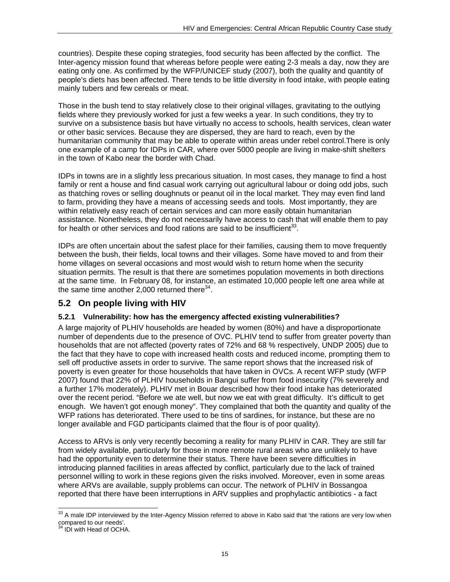countries). Despite these coping strategies, food security has been affected by the conflict. The Inter-agency mission found that whereas before people were eating 2-3 meals a day, now they are eating only one. As confirmed by the WFP/UNICEF study (2007), both the quality and quantity of people's diets has been affected. There tends to be little diversity in food intake, with people eating mainly tubers and few cereals or meat.

Those in the bush tend to stay relatively close to their original villages, gravitating to the outlying fields where they previously worked for just a few weeks a year. In such conditions, they try to survive on a subsistence basis but have virtually no access to schools, health services, clean water or other basic services. Because they are dispersed, they are hard to reach, even by the humanitarian community that may be able to operate within areas under rebel control.There is only one example of a camp for IDPs in CAR, where over 5000 people are living in make-shift shelters in the town of Kabo near the border with Chad.

IDPs in towns are in a slightly less precarious situation. In most cases, they manage to find a host family or rent a house and find casual work carrying out agricultural labour or doing odd jobs, such as thatching roves or selling doughnuts or peanut oil in the local market. They may even find land to farm, providing they have a means of accessing seeds and tools. Most importantly, they are within relatively easy reach of certain services and can more easily obtain humanitarian assistance. Nonetheless, they do not necessarily have access to cash that will enable them to pay for health or other services and food rations are said to be insufficient<sup>33</sup>.

IDPs are often uncertain about the safest place for their families, causing them to move frequently between the bush, their fields, local towns and their villages. Some have moved to and from their home villages on several occasions and most would wish to return home when the security situation permits. The result is that there are sometimes population movements in both directions at the same time. In February 08, for instance, an estimated 10,000 people left one area while at the same time another 2,000 returned there $34$ .

## **5.2 On people living with HIV**

### **5.2.1 Vulnerability: how has the emergency affected existing vulnerabilities?**

A large majority of PLHIV households are headed by women (80%) and have a disproportionate number of dependents due to the presence of OVC. PLHIV tend to suffer from greater poverty than households that are not affected (poverty rates of 72% and 68 % respectively, UNDP 2005) due to the fact that they have to cope with increased health costs and reduced income, prompting them to sell off productive assets in order to survive. The same report shows that the increased risk of poverty is even greater for those households that have taken in OVCs. A recent WFP study (WFP 2007) found that 22% of PLHIV households in Bangui suffer from food insecurity (7% severely and a further 17% moderately). PLHIV met in Bouar described how their food intake has deteriorated over the recent period. "Before we ate well, but now we eat with great difficulty. It's difficult to get enough. We haven't got enough money". They complained that both the quantity and quality of the WFP rations has deteriorated. There used to be tins of sardines, for instance, but these are no longer available and FGD participants claimed that the flour is of poor quality).

Access to ARVs is only very recently becoming a reality for many PLHIV in CAR. They are still far from widely available, particularly for those in more remote rural areas who are unlikely to have had the opportunity even to determine their status. There have been severe difficulties in introducing planned facilities in areas affected by conflict, particularly due to the lack of trained personnel willing to work in these regions given the risks involved. Moreover, even in some areas where ARVs are available, supply problems can occur. The network of PLHIV in Bossangoa reported that there have been interruptions in ARV supplies and prophylactic antibiotics - a fact

l  $33$  A male IDP interviewed by the Inter-Agency Mission referred to above in Kabo said that 'the rations are very low when compared to our needs'.<br><sup>34</sup> IDI with Head of OCHA.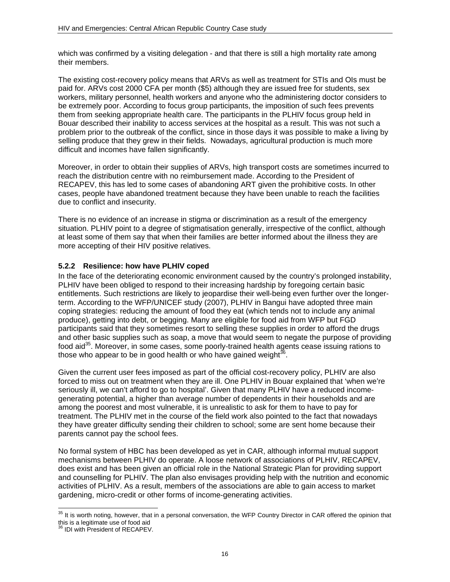which was confirmed by a visiting delegation - and that there is still a high mortality rate among their members.

The existing cost-recovery policy means that ARVs as well as treatment for STIs and OIs must be paid for. ARVs cost 2000 CFA per month (\$5) although they are issued free for students, sex workers, military personnel, health workers and anyone who the administering doctor considers to be extremely poor. According to focus group participants, the imposition of such fees prevents them from seeking appropriate health care. The participants in the PLHIV focus group held in Bouar described their inability to access services at the hospital as a result. This was not such a problem prior to the outbreak of the conflict, since in those days it was possible to make a living by selling produce that they grew in their fields. Nowadays, agricultural production is much more difficult and incomes have fallen significantly.

Moreover, in order to obtain their supplies of ARVs, high transport costs are sometimes incurred to reach the distribution centre with no reimbursement made. According to the President of RECAPEV, this has led to some cases of abandoning ART given the prohibitive costs. In other cases, people have abandoned treatment because they have been unable to reach the facilities due to conflict and insecurity.

There is no evidence of an increase in stigma or discrimination as a result of the emergency situation. PLHIV point to a degree of stigmatisation generally, irrespective of the conflict, although at least some of them say that when their families are better informed about the illness they are more accepting of their HIV positive relatives.

#### **5.2.2 Resilience: how have PLHIV coped**

In the face of the deteriorating economic environment caused by the country's prolonged instability, PLHIV have been obliged to respond to their increasing hardship by foregoing certain basic entitlements. Such restrictions are likely to jeopardise their well-being even further over the longerterm. According to the WFP/UNICEF study (2007), PLHIV in Bangui have adopted three main coping strategies: reducing the amount of food they eat (which tends not to include any animal produce), getting into debt, or begging. Many are eligible for food aid from WFP but FGD participants said that they sometimes resort to selling these supplies in order to afford the drugs and other basic supplies such as soap, a move that would seem to negate the purpose of providing food aid<sup>35</sup>. Moreover, in some cases, some poorly-trained health agents cease issuing rations to those who appear to be in good health or who have gained weight $36$ .

Given the current user fees imposed as part of the official cost-recovery policy, PLHIV are also forced to miss out on treatment when they are ill. One PLHIV in Bouar explained that 'when we're seriously ill, we can't afford to go to hospital'. Given that many PLHIV have a reduced incomegenerating potential, a higher than average number of dependents in their households and are among the poorest and most vulnerable, it is unrealistic to ask for them to have to pay for treatment. The PLHIV met in the course of the field work also pointed to the fact that nowadays they have greater difficulty sending their children to school; some are sent home because their parents cannot pay the school fees.

No formal system of HBC has been developed as yet in CAR, although informal mutual support mechanisms between PLHIV do operate. A loose network of associations of PLHIV, RECAPEV, does exist and has been given an official role in the National Strategic Plan for providing support and counselling for PLHIV. The plan also envisages providing help with the nutrition and economic activities of PLHIV. As a result, members of the associations are able to gain access to market gardening, micro-credit or other forms of income-generating activities.

l

 $35$  It is worth noting, however, that in a personal conversation, the WFP Country Director in CAR offered the opinion that this is a legitimate use of food aid

 $36$  IDI with President of RECAPEV.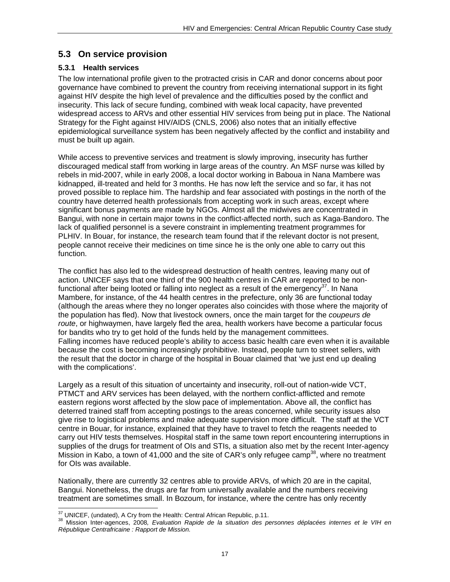## **5.3 On service provision**

#### **5.3.1 Health services**

The low international profile given to the protracted crisis in CAR and donor concerns about poor governance have combined to prevent the country from receiving international support in its fight against HIV despite the high level of prevalence and the difficulties posed by the conflict and insecurity. This lack of secure funding, combined with weak local capacity, have prevented widespread access to ARVs and other essential HIV services from being put in place. The National Strategy for the Fight against HIV/AIDS (CNLS, 2006) also notes that an initially effective epidemiological surveillance system has been negatively affected by the conflict and instability and must be built up again.

While access to preventive services and treatment is slowly improving, insecurity has further discouraged medical staff from working in large areas of the country. An MSF nurse was killed by rebels in mid-2007, while in early 2008, a local doctor working in Baboua in Nana Mambere was kidnapped, ill-treated and held for 3 months. He has now left the service and so far, it has not proved possible to replace him. The hardship and fear associated with postings in the north of the country have deterred health professionals from accepting work in such areas, except where significant bonus payments are made by NGOs. Almost all the midwives are concentrated in Bangui, with none in certain major towns in the conflict-affected north, such as Kaga-Bandoro. The lack of qualified personnel is a severe constraint in implementing treatment programmes for PLHIV. In Bouar, for instance, the research team found that if the relevant doctor is not present, people cannot receive their medicines on time since he is the only one able to carry out this function.

The conflict has also led to the widespread destruction of health centres, leaving many out of action. UNICEF says that one third of the 900 health centres in CAR are reported to be nonfunctional after being looted or falling into neglect as a result of the emergency $37$ . In Nana Mambere, for instance, of the 44 health centres in the prefecture, only 36 are functional today (although the areas where they no longer operates also coincides with those where the majority of the population has fled). Now that livestock owners, once the main target for the *coupeurs de route*, or highwaymen, have largely fled the area, health workers have become a particular focus for bandits who try to get hold of the funds held by the management committees. Falling incomes have reduced people's ability to access basic health care even when it is available because the cost is becoming increasingly prohibitive. Instead, people turn to street sellers, with the result that the doctor in charge of the hospital in Bouar claimed that 'we just end up dealing with the complications'.

Largely as a result of this situation of uncertainty and insecurity, roll-out of nation-wide VCT, PTMCT and ARV services has been delayed, with the northern conflict-afflicted and remote eastern regions worst affected by the slow pace of implementation. Above all, the conflict has deterred trained staff from accepting postings to the areas concerned, while security issues also give rise to logistical problems and make adequate supervision more difficult. The staff at the VCT centre in Bouar, for instance, explained that they have to travel to fetch the reagents needed to carry out HIV tests themselves. Hospital staff in the same town report encountering interruptions in supplies of the drugs for treatment of OIs and STIs, a situation also met by the recent Inter-agency Mission in Kabo, a town of 41,000 and the site of CAR's only refugee camp<sup>38</sup>, where no treatment for OIs was available.

Nationally, there are currently 32 centres able to provide ARVs, of which 20 are in the capital, Bangui. Nonetheless, the drugs are far from universally available and the numbers receiving treatment are sometimes small. In Bozoum, for instance, where the centre has only recently

<sup>&</sup>lt;sup>37</sup> UNICEF, (undated), A Cry from the Health: Central African Republic, p.11.

<sup>&</sup>lt;sup>38</sup> Mission Inter-agences, 2008, Evaluation Rapide de la situation des personnes déplacées internes et le VIH en *République Centrafricaine : Rapport de Mission.*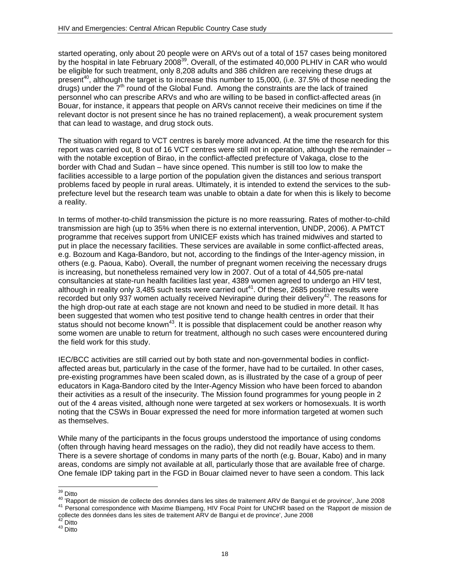started operating, only about 20 people were on ARVs out of a total of 157 cases being monitored by the hospital in late February 2008<sup>39</sup>. Overall, of the estimated 40,000 PLHIV in CAR who would be eligible for such treatment, only 8,208 adults and 386 children are receiving these drugs at present<sup>40</sup>, although the target is to increase this number to 15,000, (i.e. 37.5% of those needing the drugs) under the 7<sup>th</sup> round of the Global Fund. Among the constraints are the lack of trained personnel who can prescribe ARVs and who are willing to be based in conflict-affected areas (in Bouar, for instance, it appears that people on ARVs cannot receive their medicines on time if the relevant doctor is not present since he has no trained replacement), a weak procurement system that can lead to wastage, and drug stock outs.

The situation with regard to VCT centres is barely more advanced. At the time the research for this report was carried out, 8 out of 16 VCT centres were still not in operation, although the remainder – with the notable exception of Birao, in the conflict-affected prefecture of Vakaga, close to the border with Chad and Sudan – have since opened. This number is still too low to make the facilities accessible to a large portion of the population given the distances and serious transport problems faced by people in rural areas. Ultimately, it is intended to extend the services to the subprefecture level but the research team was unable to obtain a date for when this is likely to become a reality.

In terms of mother-to-child transmission the picture is no more reassuring. Rates of mother-to-child transmission are high (up to 35% when there is no external intervention, UNDP, 2006). A PMTCT programme that receives support from UNICEF exists which has trained midwives and started to put in place the necessary facilities. These services are available in some conflict-affected areas, e.g. Bozoum and Kaga-Bandoro, but not, according to the findings of the Inter-agency mission, in others (e.g. Paoua, Kabo). Overall, the number of pregnant women receiving the necessary drugs is increasing, but nonetheless remained very low in 2007. Out of a total of 44,505 pre-natal consultancies at state-run health facilities last year, 4389 women agreed to undergo an HIV test, although in reality only 3,485 such tests were carried out<sup>41</sup>. Of these, 2685 positive results were recorded but only 937 women actually received Nevirapine during their delivery<sup>42</sup>. The reasons for the high drop-out rate at each stage are not known and need to be studied in more detail. It has been suggested that women who test positive tend to change health centres in order that their status should not become known<sup>43</sup>. It is possible that displacement could be another reason why some women are unable to return for treatment, although no such cases were encountered during the field work for this study.

IEC/BCC activities are still carried out by both state and non-governmental bodies in conflictaffected areas but, particularly in the case of the former, have had to be curtailed. In other cases, pre-existing programmes have been scaled down, as is illustrated by the case of a group of peer educators in Kaga-Bandoro cited by the Inter-Agency Mission who have been forced to abandon their activities as a result of the insecurity. The Mission found programmes for young people in 2 out of the 4 areas visited, although none were targeted at sex workers or homosexuals. It is worth noting that the CSWs in Bouar expressed the need for more information targeted at women such as themselves.

While many of the participants in the focus groups understood the importance of using condoms (often through having heard messages on the radio), they did not readily have access to them. There is a severe shortage of condoms in many parts of the north (e.g. Bouar, Kabo) and in many areas, condoms are simply not available at all, particularly those that are available free of charge. One female IDP taking part in the FGD in Bouar claimed never to have seen a condom. This lack

<sup>&</sup>lt;sup>39</sup> Ditto

<sup>&</sup>lt;sup>40</sup> 'Rapport de mission de collecte des données dans les sites de traitement ARV de Bangui et de province', June 2008<br><sup>41</sup> Personal correspondence with Maxime Biampeng, HIV Focal Point for UNCHR based on the 'Rapport de m collecte des données dans les sites de traitement ARV de Bangui et de province', June 2008

 $^{42}_{43}$  Ditto  $^{43}_{43}$  Ditto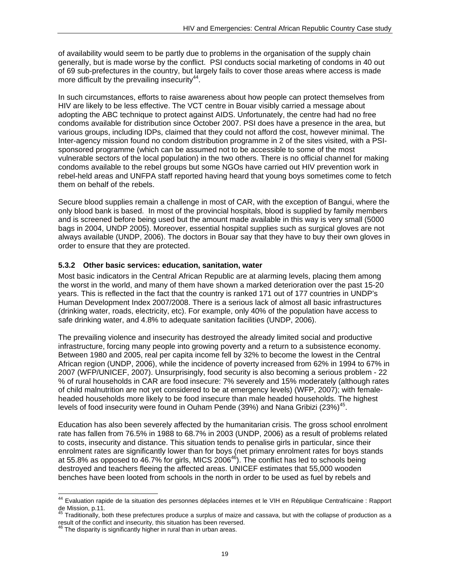of availability would seem to be partly due to problems in the organisation of the supply chain generally, but is made worse by the conflict. PSI conducts social marketing of condoms in 40 out of 69 sub-prefectures in the country, but largely fails to cover those areas where access is made more difficult by the prevailing insecurity<sup>44</sup>.

In such circumstances, efforts to raise awareness about how people can protect themselves from HIV are likely to be less effective. The VCT centre in Bouar visibly carried a message about adopting the ABC technique to protect against AIDS. Unfortunately, the centre had had no free condoms available for distribution since October 2007. PSI does have a presence in the area, but various groups, including IDPs, claimed that they could not afford the cost, however minimal. The Inter-agency mission found no condom distribution programme in 2 of the sites visited, with a PSIsponsored programme (which can be assumed not to be accessible to some of the most vulnerable sectors of the local population) in the two others. There is no official channel for making condoms available to the rebel groups but some NGOs have carried out HIV prevention work in rebel-held areas and UNFPA staff reported having heard that young boys sometimes come to fetch them on behalf of the rebels.

Secure blood supplies remain a challenge in most of CAR, with the exception of Bangui, where the only blood bank is based. In most of the provincial hospitals, blood is supplied by family members and is screened before being used but the amount made available in this way is very small (5000 bags in 2004, UNDP 2005). Moreover, essential hospital supplies such as surgical gloves are not always available (UNDP, 2006). The doctors in Bouar say that they have to buy their own gloves in order to ensure that they are protected.

### **5.3.2 Other basic services: education, sanitation, water**

Most basic indicators in the Central African Republic are at alarming levels, placing them among the worst in the world, and many of them have shown a marked deterioration over the past 15-20 years. This is reflected in the fact that the country is ranked 171 out of 177 countries in UNDP's Human Development Index 2007/2008. There is a serious lack of almost all basic infrastructures (drinking water, roads, electricity, etc). For example, only 40% of the population have access to safe drinking water, and 4.8% to adequate sanitation facilities (UNDP, 2006).

The prevailing violence and insecurity has destroyed the already limited social and productive infrastructure, forcing many people into growing poverty and a return to a subsistence economy. Between 1980 and 2005, real per capita income fell by 32% to become the lowest in the Central African region (UNDP, 2006), while the incidence of poverty increased from 62% in 1994 to 67% in 2007 (WFP/UNICEF, 2007). Unsurprisingly, food security is also becoming a serious problem - 22 % of rural households in CAR are food insecure: 7% severely and 15% moderately (although rates of child malnutrition are not yet considered to be at emergency levels) (WFP, 2007); with femaleheaded households more likely to be food insecure than male headed households. The highest levels of food insecurity were found in Ouham Pende (39%) and Nana Gribizi (23%)<sup>45</sup>.

Education has also been severely affected by the humanitarian crisis. The gross school enrolment rate has fallen from 76.5% in 1988 to 68.7% in 2003 (UNDP, 2006) as a result of problems related to costs, insecurity and distance. This situation tends to penalise girls in particular, since their enrolment rates are significantly lower than for boys (net primary enrolment rates for boys stands at 55.8% as opposed to 46.7% for girls, MICS 2006<sup>46</sup>). The conflict has led to schools being destroyed and teachers fleeing the affected areas. UNICEF estimates that 55,000 wooden benches have been looted from schools in the north in order to be used as fuel by rebels and

l

<sup>&</sup>lt;sup>44</sup> Evaluation rapide de la situation des personnes déplacées internes et le VIH en République Centrafricaine : Rapport de Mission, p.11.

<sup>45</sup> Traditionally, both these prefectures produce a surplus of maize and cassava, but with the collapse of production as a

result of the conflict and insecurity, this situation has been reversed.<br><sup>46</sup> The disparity is significantly higher in rural than in urban areas.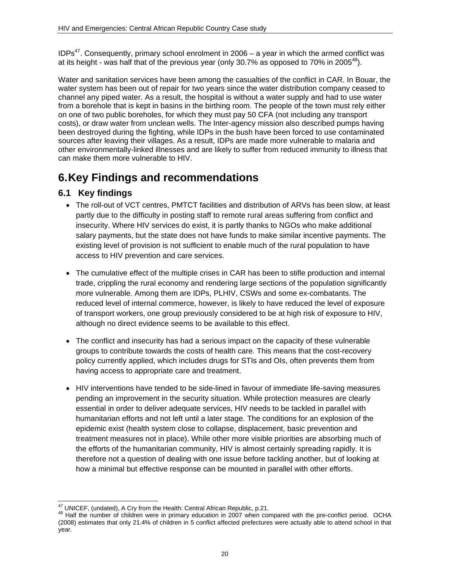$IDPs<sup>47</sup>$ . Consequently, primary school enrolment in 2006 – a year in which the armed conflict was at its height - was half that of the previous year (only 30.7% as opposed to 70% in 2005 $48$ ).

Water and sanitation services have been among the casualties of the conflict in CAR. In Bouar, the water system has been out of repair for two years since the water distribution company ceased to channel any piped water. As a result, the hospital is without a water supply and had to use water from a borehole that is kept in basins in the birthing room. The people of the town must rely either on one of two public boreholes, for which they must pay 50 CFA (not including any transport costs), or draw water from unclean wells. The Inter-agency mission also described pumps having been destroyed during the fighting, while IDPs in the bush have been forced to use contaminated sources after leaving their villages. As a result, IDPs are made more vulnerable to malaria and other environmentally-linked illnesses and are likely to suffer from reduced immunity to illness that can make them more vulnerable to HIV.

# **6. Key Findings and recommendations**

## **6.1 Key findings**

- The roll-out of VCT centres, PMTCT facilities and distribution of ARVs has been slow, at least partly due to the difficulty in posting staff to remote rural areas suffering from conflict and insecurity. Where HIV services do exist, it is partly thanks to NGOs who make additional salary payments, but the state does not have funds to make similar incentive payments. The existing level of provision is not sufficient to enable much of the rural population to have access to HIV prevention and care services.
- The cumulative effect of the multiple crises in CAR has been to stifle production and internal trade, crippling the rural economy and rendering large sections of the population significantly more vulnerable. Among them are IDPs, PLHIV, CSWs and some ex-combatants. The reduced level of internal commerce, however, is likely to have reduced the level of exposure of transport workers, one group previously considered to be at high risk of exposure to HIV, although no direct evidence seems to be available to this effect.
- The conflict and insecurity has had a serious impact on the capacity of these vulnerable groups to contribute towards the costs of health care. This means that the cost-recovery policy currently applied, which includes drugs for STIs and OIs, often prevents them from having access to appropriate care and treatment.
- HIV interventions have tended to be side-lined in favour of immediate life-saving measures pending an improvement in the security situation. While protection measures are clearly essential in order to deliver adequate services, HIV needs to be tackled in parallel with humanitarian efforts and not left until a later stage. The conditions for an explosion of the epidemic exist (health system close to collapse, displacement, basic prevention and treatment measures not in place). While other more visible priorities are absorbing much of the efforts of the humanitarian community, HIV is almost certainly spreading rapidly. It is therefore not a question of dealing with one issue before tackling another, but of looking at how a minimal but effective response can be mounted in parallel with other efforts.

<sup>&</sup>lt;sup>47</sup> UNICEF, (undated), A Cry from the Health: Central African Republic, p.21.

<sup>&</sup>lt;sup>48</sup> Half the number of children were in primary education in 2007 when compared with the pre-conflict period. OCHA (2008) estimates that only 21.4% of children in 5 conflict affected prefectures were actually able to attend school in that year.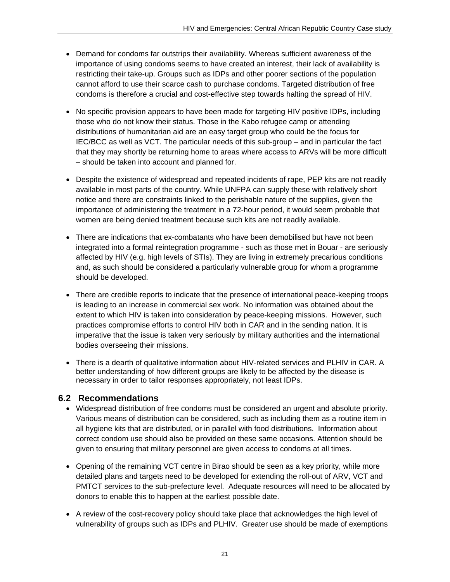- Demand for condoms far outstrips their availability. Whereas sufficient awareness of the importance of using condoms seems to have created an interest, their lack of availability is restricting their take-up. Groups such as IDPs and other poorer sections of the population cannot afford to use their scarce cash to purchase condoms. Targeted distribution of free condoms is therefore a crucial and cost-effective step towards halting the spread of HIV.
- No specific provision appears to have been made for targeting HIV positive IDPs, including those who do not know their status. Those in the Kabo refugee camp or attending distributions of humanitarian aid are an easy target group who could be the focus for IEC/BCC as well as VCT. The particular needs of this sub-group – and in particular the fact that they may shortly be returning home to areas where access to ARVs will be more difficult – should be taken into account and planned for.
- Despite the existence of widespread and repeated incidents of rape, PEP kits are not readily available in most parts of the country. While UNFPA can supply these with relatively short notice and there are constraints linked to the perishable nature of the supplies, given the importance of administering the treatment in a 72-hour period, it would seem probable that women are being denied treatment because such kits are not readily available.
- There are indications that ex-combatants who have been demobilised but have not been integrated into a formal reintegration programme - such as those met in Bouar - are seriously affected by HIV (e.g. high levels of STIs). They are living in extremely precarious conditions and, as such should be considered a particularly vulnerable group for whom a programme should be developed.
- There are credible reports to indicate that the presence of international peace-keeping troops is leading to an increase in commercial sex work. No information was obtained about the extent to which HIV is taken into consideration by peace-keeping missions. However, such practices compromise efforts to control HIV both in CAR and in the sending nation. It is imperative that the issue is taken very seriously by military authorities and the international bodies overseeing their missions.
- There is a dearth of qualitative information about HIV-related services and PLHIV in CAR. A better understanding of how different groups are likely to be affected by the disease is necessary in order to tailor responses appropriately, not least IDPs.

## **6.2 Recommendations**

- Widespread distribution of free condoms must be considered an urgent and absolute priority. Various means of distribution can be considered, such as including them as a routine item in all hygiene kits that are distributed, or in parallel with food distributions. Information about correct condom use should also be provided on these same occasions. Attention should be given to ensuring that military personnel are given access to condoms at all times.
- Opening of the remaining VCT centre in Birao should be seen as a key priority, while more detailed plans and targets need to be developed for extending the roll-out of ARV, VCT and PMTCT services to the sub-prefecture level. Adequate resources will need to be allocated by donors to enable this to happen at the earliest possible date.
- A review of the cost-recovery policy should take place that acknowledges the high level of vulnerability of groups such as IDPs and PLHIV. Greater use should be made of exemptions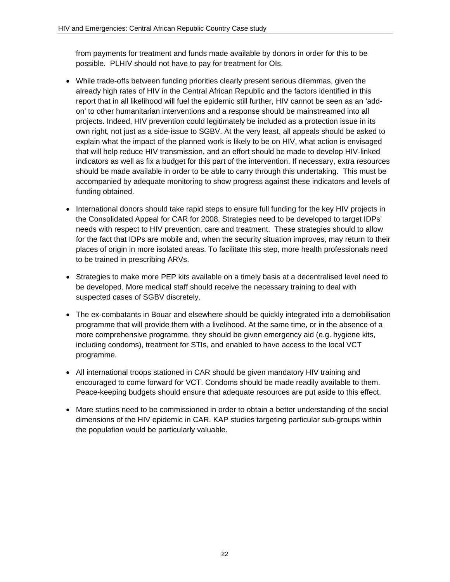from payments for treatment and funds made available by donors in order for this to be possible. PLHIV should not have to pay for treatment for OIs.

- While trade-offs between funding priorities clearly present serious dilemmas, given the already high rates of HIV in the Central African Republic and the factors identified in this report that in all likelihood will fuel the epidemic still further, HIV cannot be seen as an 'addon' to other humanitarian interventions and a response should be mainstreamed into all projects. Indeed, HIV prevention could legitimately be included as a protection issue in its own right, not just as a side-issue to SGBV. At the very least, all appeals should be asked to explain what the impact of the planned work is likely to be on HIV, what action is envisaged that will help reduce HIV transmission, and an effort should be made to develop HIV-linked indicators as well as fix a budget for this part of the intervention. If necessary, extra resources should be made available in order to be able to carry through this undertaking. This must be accompanied by adequate monitoring to show progress against these indicators and levels of funding obtained.
- International donors should take rapid steps to ensure full funding for the key HIV projects in the Consolidated Appeal for CAR for 2008. Strategies need to be developed to target IDPs' needs with respect to HIV prevention, care and treatment. These strategies should to allow for the fact that IDPs are mobile and, when the security situation improves, may return to their places of origin in more isolated areas. To facilitate this step, more health professionals need to be trained in prescribing ARVs.
- Strategies to make more PEP kits available on a timely basis at a decentralised level need to be developed. More medical staff should receive the necessary training to deal with suspected cases of SGBV discretely.
- The ex-combatants in Bouar and elsewhere should be quickly integrated into a demobilisation programme that will provide them with a livelihood. At the same time, or in the absence of a more comprehensive programme, they should be given emergency aid (e.g. hygiene kits, including condoms), treatment for STIs, and enabled to have access to the local VCT programme.
- All international troops stationed in CAR should be given mandatory HIV training and encouraged to come forward for VCT. Condoms should be made readily available to them. Peace-keeping budgets should ensure that adequate resources are put aside to this effect.
- More studies need to be commissioned in order to obtain a better understanding of the social dimensions of the HIV epidemic in CAR. KAP studies targeting particular sub-groups within the population would be particularly valuable.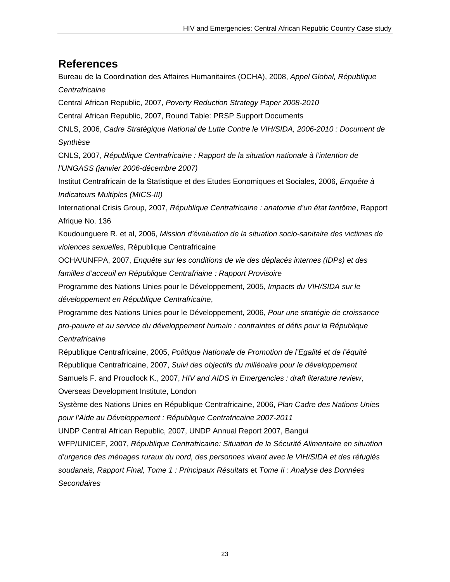## **References**

Bureau de la Coordination des Affaires Humanitaires (OCHA), 2008, *Appel Global, République Centrafricaine* Central African Republic, 2007, *Poverty Reduction Strategy Paper 2008-2010* Central African Republic, 2007, Round Table: PRSP Support Documents CNLS, 2006, *Cadre Stratégique National de Lutte Contre le VIH/SIDA, 2006-2010 : Document de Synthèse*  CNLS, 2007, *République Centrafricaine : Rapport de la situation nationale à l'intention de l'UNGASS (janvier 2006-décembre 2007)*  Institut Centrafricain de la Statistique et des Etudes Eonomiques et Sociales, 2006, *Enquête à Indicateurs Multiples (MICS-III)* International Crisis Group, 2007, *République Centrafricaine : anatomie d'un état fantôme*, Rapport Afrique No. 136 Koudounguere R. et al, 2006, *Mission d'évaluation de la situation socio-sanitaire des victimes de violences sexuelles,* République Centrafricaine OCHA/UNFPA, 2007, *Enquête sur les conditions de vie des déplacés internes (IDPs) et des familles d'acceuil en République Centrafriaine : Rapport Provisoire*  Programme des Nations Unies pour le Développement, 2005, *Impacts du VIH/SIDA sur le développement en République Centrafricaine*, Programme des Nations Unies pour le Développement, 2006, *Pour une stratégie de croissance pro-pauvre et au service du développement humain : contraintes et défis pour la République Centrafricaine* République Centrafricaine, 2005, *Politique Nationale de Promotion de l'Egalité et de l'équité*  République Centrafricaine, 2007, *Suivi des objectifs du millénaire pour le développement*  Samuels F. and Proudlock K., 2007, *HIV and AIDS in Emergencies : draft literature review*, Overseas Development Institute, London Système des Nations Unies en République Centrafricaine, 2006, *Plan Cadre des Nations Unies pour l'Aide au Développement : République Centrafricaine 2007-2011* UNDP Central African Republic, 2007, UNDP Annual Report 2007, Bangui WFP/UNICEF, 2007, *République Centrafricaine: Situation de la Sécurité Alimentaire en situation d'urgence des ménages ruraux du nord, des personnes vivant avec le VIH/SIDA et des réfugiés soudanais, Rapport Final, Tome 1 : Principaux Résultats* et *Tome Ii : Analyse des Données Secondaires*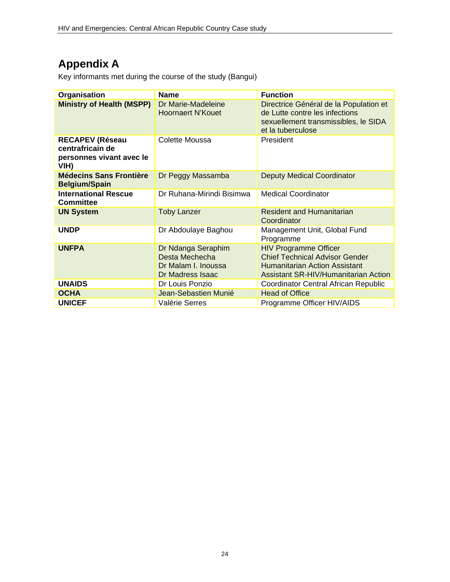# **Appendix A**

Key informants met during the course of the study (Bangui)

| Organisation                                                                   | <b>Name</b>                                                                     | <b>Function</b>                                                                                                                                       |
|--------------------------------------------------------------------------------|---------------------------------------------------------------------------------|-------------------------------------------------------------------------------------------------------------------------------------------------------|
| <b>Ministry of Health (MSPP)</b>                                               | Dr Marie-Madeleine<br><b>Hoornaert N'Kouet</b>                                  | Directrice Général de la Population et<br>de Lutte contre les infections<br>sexuellement transmissibles, le SIDA<br>et la tuberculose                 |
| <b>RECAPEV (Réseau</b><br>centrafricain de<br>personnes vivant avec le<br>VIH) | Colette Moussa                                                                  | President                                                                                                                                             |
| <b>Médecins Sans Frontière</b><br><b>Belgium/Spain</b>                         | Dr Peggy Massamba                                                               | <b>Deputy Medical Coordinator</b>                                                                                                                     |
| <b>International Rescue</b><br><b>Committee</b>                                | Dr Ruhana-Mirindi Bisimwa                                                       | <b>Medical Coordinator</b>                                                                                                                            |
| <b>UN System</b>                                                               | <b>Toby Lanzer</b>                                                              | <b>Resident and Humanitarian</b><br>Coordinator                                                                                                       |
| <b>UNDP</b>                                                                    | Dr Abdoulaye Baghou                                                             | Management Unit, Global Fund<br>Programme                                                                                                             |
| <b>UNFPA</b>                                                                   | Dr Ndanga Seraphim<br>Desta Mechecha<br>Dr Malam I. Inoussa<br>Dr Madress Isaac | <b>HIV Programme Officer</b><br><b>Chief Technical Advisor Gender</b><br><b>Humanitarian Action Assistant</b><br>Assistant SR-HIV/Humanitarian Action |
| <b>UNAIDS</b>                                                                  | Dr Louis Ponzio                                                                 | Coordinator Central African Republic                                                                                                                  |
| <b>OCHA</b>                                                                    | Jean-Sebastien Munié                                                            | <b>Head of Office</b>                                                                                                                                 |
| <b>UNICEF</b>                                                                  | Valérie Serres                                                                  | Programme Officer HIV/AIDS                                                                                                                            |